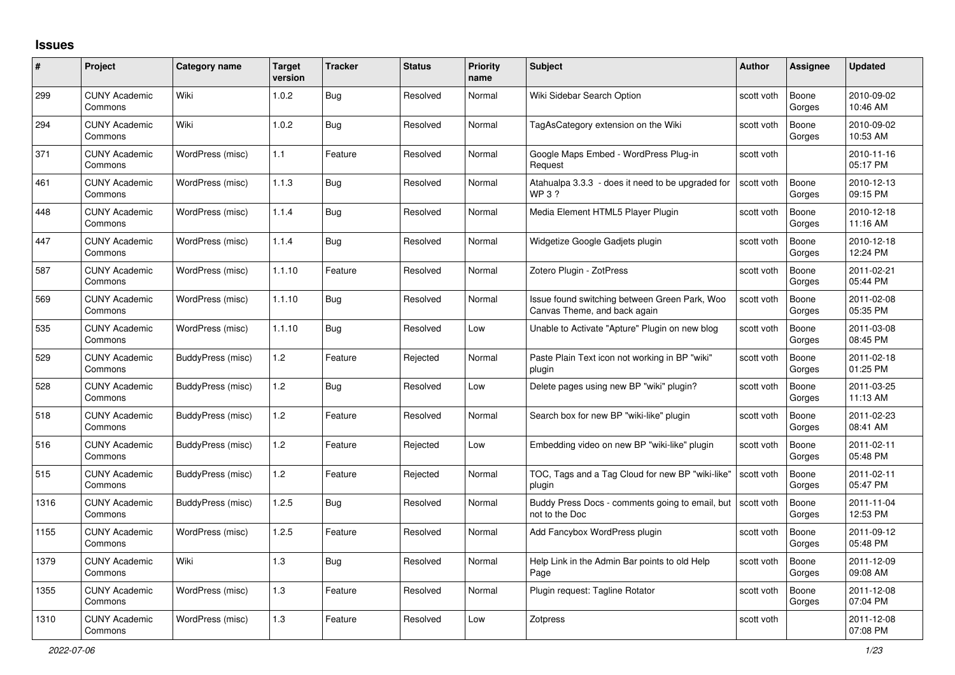## **Issues**

| #    | Project                         | Category name     | <b>Target</b><br>version | <b>Tracker</b> | <b>Status</b> | <b>Priority</b><br>name | <b>Subject</b>                                                                | <b>Author</b> | <b>Assignee</b> | <b>Updated</b>         |
|------|---------------------------------|-------------------|--------------------------|----------------|---------------|-------------------------|-------------------------------------------------------------------------------|---------------|-----------------|------------------------|
| 299  | <b>CUNY Academic</b><br>Commons | Wiki              | 1.0.2                    | Bug            | Resolved      | Normal                  | Wiki Sidebar Search Option                                                    | scott voth    | Boone<br>Gorges | 2010-09-02<br>10:46 AM |
| 294  | <b>CUNY Academic</b><br>Commons | Wiki              | 1.0.2                    | Bug            | Resolved      | Normal                  | TagAsCategory extension on the Wiki                                           | scott voth    | Boone<br>Gorges | 2010-09-02<br>10:53 AM |
| 371  | <b>CUNY Academic</b><br>Commons | WordPress (misc)  | 1.1                      | Feature        | Resolved      | Normal                  | Google Maps Embed - WordPress Plug-in<br>Request                              | scott voth    |                 | 2010-11-16<br>05:17 PM |
| 461  | <b>CUNY Academic</b><br>Commons | WordPress (misc)  | 1.1.3                    | <b>Bug</b>     | Resolved      | Normal                  | Atahualpa 3.3.3 - does it need to be upgraded for<br>WP 3 ?                   | scott voth    | Boone<br>Gorges | 2010-12-13<br>09:15 PM |
| 448  | <b>CUNY Academic</b><br>Commons | WordPress (misc)  | 1.1.4                    | Bug            | Resolved      | Normal                  | Media Element HTML5 Player Plugin                                             | scott voth    | Boone<br>Gorges | 2010-12-18<br>11:16 AM |
| 447  | <b>CUNY Academic</b><br>Commons | WordPress (misc)  | 1.1.4                    | Bug            | Resolved      | Normal                  | Widgetize Google Gadjets plugin                                               | scott voth    | Boone<br>Gorges | 2010-12-18<br>12:24 PM |
| 587  | <b>CUNY Academic</b><br>Commons | WordPress (misc)  | 1.1.10                   | Feature        | Resolved      | Normal                  | Zotero Plugin - ZotPress                                                      | scott voth    | Boone<br>Gorges | 2011-02-21<br>05:44 PM |
| 569  | <b>CUNY Academic</b><br>Commons | WordPress (misc)  | 1.1.10                   | Bug            | Resolved      | Normal                  | Issue found switching between Green Park, Woo<br>Canvas Theme, and back again | scott voth    | Boone<br>Gorges | 2011-02-08<br>05:35 PM |
| 535  | <b>CUNY Academic</b><br>Commons | WordPress (misc)  | 1.1.10                   | <b>Bug</b>     | Resolved      | Low                     | Unable to Activate "Apture" Plugin on new blog                                | scott voth    | Boone<br>Gorges | 2011-03-08<br>08:45 PM |
| 529  | <b>CUNY Academic</b><br>Commons | BuddyPress (misc) | 1.2                      | Feature        | Rejected      | Normal                  | Paste Plain Text icon not working in BP "wiki"<br>plugin                      | scott voth    | Boone<br>Gorges | 2011-02-18<br>01:25 PM |
| 528  | <b>CUNY Academic</b><br>Commons | BuddyPress (misc) | 1.2                      | <b>Bug</b>     | Resolved      | Low                     | Delete pages using new BP "wiki" plugin?                                      | scott voth    | Boone<br>Gorges | 2011-03-25<br>11:13 AM |
| 518  | <b>CUNY Academic</b><br>Commons | BuddyPress (misc) | 1.2                      | Feature        | Resolved      | Normal                  | Search box for new BP "wiki-like" plugin                                      | scott voth    | Boone<br>Gorges | 2011-02-23<br>08:41 AM |
| 516  | <b>CUNY Academic</b><br>Commons | BuddyPress (misc) | 1.2                      | Feature        | Rejected      | Low                     | Embedding video on new BP "wiki-like" plugin                                  | scott voth    | Boone<br>Gorges | 2011-02-11<br>05:48 PM |
| 515  | <b>CUNY Academic</b><br>Commons | BuddyPress (misc) | 1.2                      | Feature        | Rejected      | Normal                  | TOC, Tags and a Tag Cloud for new BP "wiki-like"<br>plugin                    | scott voth    | Boone<br>Gorges | 2011-02-11<br>05:47 PM |
| 1316 | <b>CUNY Academic</b><br>Commons | BuddyPress (misc) | 1.2.5                    | Bug            | Resolved      | Normal                  | Buddy Press Docs - comments going to email, but<br>not to the Doc             | scott voth    | Boone<br>Gorges | 2011-11-04<br>12:53 PM |
| 1155 | <b>CUNY Academic</b><br>Commons | WordPress (misc)  | 1.2.5                    | Feature        | Resolved      | Normal                  | Add Fancybox WordPress plugin                                                 | scott voth    | Boone<br>Gorges | 2011-09-12<br>05:48 PM |
| 1379 | <b>CUNY Academic</b><br>Commons | Wiki              | 1.3                      | Bug            | Resolved      | Normal                  | Help Link in the Admin Bar points to old Help<br>Page                         | scott voth    | Boone<br>Gorges | 2011-12-09<br>09:08 AM |
| 1355 | <b>CUNY Academic</b><br>Commons | WordPress (misc)  | 1.3                      | Feature        | Resolved      | Normal                  | Plugin request: Tagline Rotator                                               | scott voth    | Boone<br>Gorges | 2011-12-08<br>07:04 PM |
| 1310 | <b>CUNY Academic</b><br>Commons | WordPress (misc)  | 1.3                      | Feature        | Resolved      | Low                     | Zotpress                                                                      | scott voth    |                 | 2011-12-08<br>07:08 PM |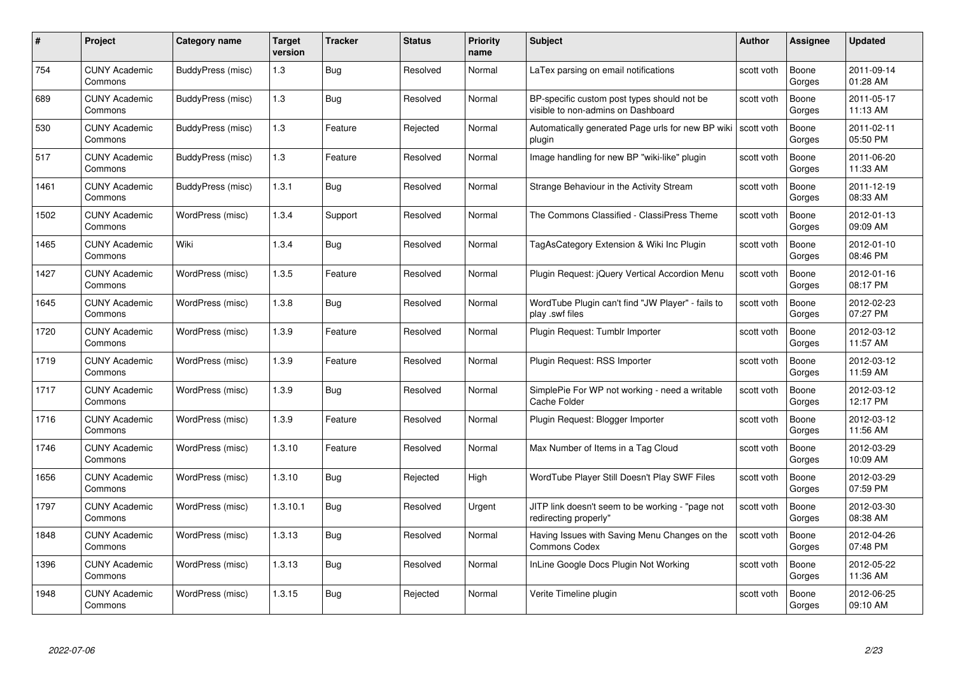| #    | Project                         | <b>Category name</b> | Target<br>version | <b>Tracker</b> | <b>Status</b> | <b>Priority</b><br>name | <b>Subject</b>                                                                    | <b>Author</b> | <b>Assignee</b> | <b>Updated</b>         |
|------|---------------------------------|----------------------|-------------------|----------------|---------------|-------------------------|-----------------------------------------------------------------------------------|---------------|-----------------|------------------------|
| 754  | <b>CUNY Academic</b><br>Commons | BuddyPress (misc)    | 1.3               | Bug            | Resolved      | Normal                  | LaTex parsing on email notifications                                              | scott voth    | Boone<br>Gorges | 2011-09-14<br>01:28 AM |
| 689  | <b>CUNY Academic</b><br>Commons | BuddyPress (misc)    | 1.3               | <b>Bug</b>     | Resolved      | Normal                  | BP-specific custom post types should not be<br>visible to non-admins on Dashboard | scott voth    | Boone<br>Gorges | 2011-05-17<br>11:13 AM |
| 530  | <b>CUNY Academic</b><br>Commons | BuddyPress (misc)    | $1.3$             | Feature        | Rejected      | Normal                  | Automatically generated Page urls for new BP wiki<br>plugin                       | scott voth    | Boone<br>Gorges | 2011-02-11<br>05:50 PM |
| 517  | <b>CUNY Academic</b><br>Commons | BuddyPress (misc)    | 1.3               | Feature        | Resolved      | Normal                  | Image handling for new BP "wiki-like" plugin                                      | scott voth    | Boone<br>Gorges | 2011-06-20<br>11:33 AM |
| 1461 | CUNY Academic<br>Commons        | BuddyPress (misc)    | 1.3.1             | Bug            | Resolved      | Normal                  | Strange Behaviour in the Activity Stream                                          | scott voth    | Boone<br>Gorges | 2011-12-19<br>08:33 AM |
| 1502 | <b>CUNY Academic</b><br>Commons | WordPress (misc)     | 1.3.4             | Support        | Resolved      | Normal                  | The Commons Classified - ClassiPress Theme                                        | scott voth    | Boone<br>Gorges | 2012-01-13<br>09:09 AM |
| 1465 | <b>CUNY Academic</b><br>Commons | Wiki                 | 1.3.4             | Bug            | Resolved      | Normal                  | TagAsCategory Extension & Wiki Inc Plugin                                         | scott voth    | Boone<br>Gorges | 2012-01-10<br>08:46 PM |
| 1427 | <b>CUNY Academic</b><br>Commons | WordPress (misc)     | 1.3.5             | Feature        | Resolved      | Normal                  | Plugin Request: jQuery Vertical Accordion Menu                                    | scott voth    | Boone<br>Gorges | 2012-01-16<br>08:17 PM |
| 1645 | <b>CUNY Academic</b><br>Commons | WordPress (misc)     | 1.3.8             | <b>Bug</b>     | Resolved      | Normal                  | WordTube Plugin can't find "JW Player" - fails to<br>play .swf files              | scott voth    | Boone<br>Gorges | 2012-02-23<br>07:27 PM |
| 1720 | <b>CUNY Academic</b><br>Commons | WordPress (misc)     | 1.3.9             | Feature        | Resolved      | Normal                  | Plugin Request: Tumblr Importer                                                   | scott voth    | Boone<br>Gorges | 2012-03-12<br>11:57 AM |
| 1719 | CUNY Academic<br>Commons        | WordPress (misc)     | 1.3.9             | Feature        | Resolved      | Normal                  | Plugin Request: RSS Importer                                                      | scott voth    | Boone<br>Gorges | 2012-03-12<br>11:59 AM |
| 1717 | <b>CUNY Academic</b><br>Commons | WordPress (misc)     | 1.3.9             | <b>Bug</b>     | Resolved      | Normal                  | SimplePie For WP not working - need a writable<br>Cache Folder                    | scott voth    | Boone<br>Gorges | 2012-03-12<br>12:17 PM |
| 1716 | <b>CUNY Academic</b><br>Commons | WordPress (misc)     | 1.3.9             | Feature        | Resolved      | Normal                  | Plugin Request: Blogger Importer                                                  | scott voth    | Boone<br>Gorges | 2012-03-12<br>11:56 AM |
| 1746 | <b>CUNY Academic</b><br>Commons | WordPress (misc)     | 1.3.10            | Feature        | Resolved      | Normal                  | Max Number of Items in a Tag Cloud                                                | scott voth    | Boone<br>Gorges | 2012-03-29<br>10:09 AM |
| 1656 | <b>CUNY Academic</b><br>Commons | WordPress (misc)     | 1.3.10            | Bug            | Rejected      | High                    | WordTube Player Still Doesn't Play SWF Files                                      | scott voth    | Boone<br>Gorges | 2012-03-29<br>07:59 PM |
| 1797 | <b>CUNY Academic</b><br>Commons | WordPress (misc)     | 1.3.10.1          | Bug            | Resolved      | Urgent                  | JITP link doesn't seem to be working - "page not<br>redirecting properly"         | scott voth    | Boone<br>Gorges | 2012-03-30<br>08:38 AM |
| 1848 | <b>CUNY Academic</b><br>Commons | WordPress (misc)     | 1.3.13            | <b>Bug</b>     | Resolved      | Normal                  | Having Issues with Saving Menu Changes on the<br><b>Commons Codex</b>             | scott voth    | Boone<br>Gorges | 2012-04-26<br>07:48 PM |
| 1396 | <b>CUNY Academic</b><br>Commons | WordPress (misc)     | 1.3.13            | Bug            | Resolved      | Normal                  | InLine Google Docs Plugin Not Working                                             | scott voth    | Boone<br>Gorges | 2012-05-22<br>11:36 AM |
| 1948 | CUNY Academic<br>Commons        | WordPress (misc)     | 1.3.15            | Bug            | Rejected      | Normal                  | Verite Timeline plugin                                                            | scott voth    | Boone<br>Gorges | 2012-06-25<br>09:10 AM |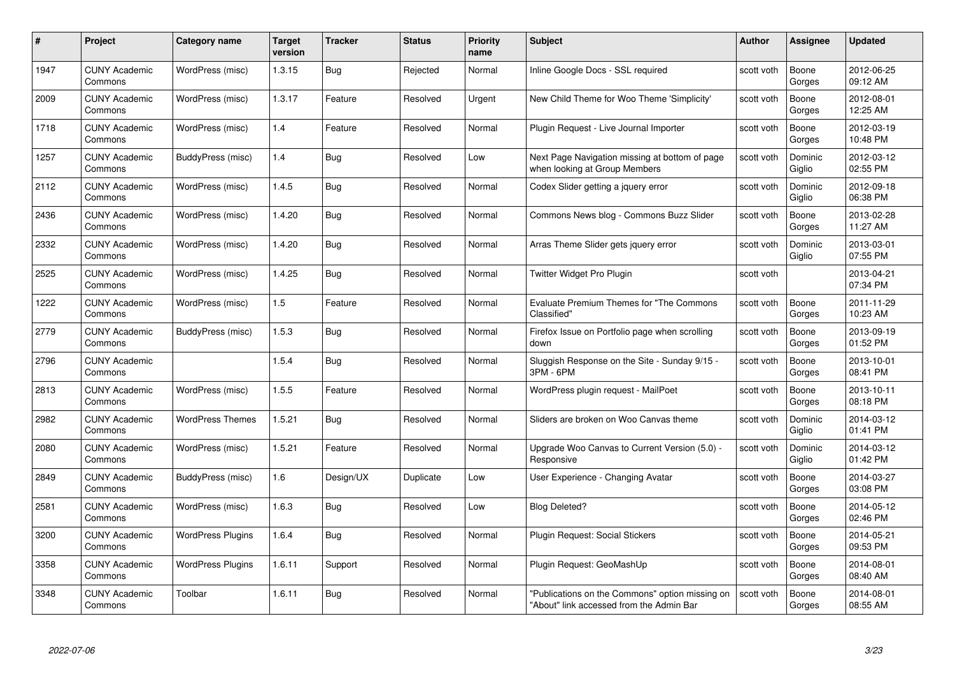| #    | Project                         | Category name            | Target<br>version | <b>Tracker</b> | <b>Status</b> | <b>Priority</b><br>name | <b>Subject</b>                                                                              | Author     | <b>Assignee</b>   | <b>Updated</b>         |
|------|---------------------------------|--------------------------|-------------------|----------------|---------------|-------------------------|---------------------------------------------------------------------------------------------|------------|-------------------|------------------------|
| 1947 | <b>CUNY Academic</b><br>Commons | WordPress (misc)         | 1.3.15            | Bug            | Rejected      | Normal                  | Inline Google Docs - SSL required                                                           | scott voth | Boone<br>Gorges   | 2012-06-25<br>09:12 AM |
| 2009 | <b>CUNY Academic</b><br>Commons | WordPress (misc)         | 1.3.17            | Feature        | Resolved      | Urgent                  | New Child Theme for Woo Theme 'Simplicity'                                                  | scott voth | Boone<br>Gorges   | 2012-08-01<br>12:25 AM |
| 1718 | <b>CUNY Academic</b><br>Commons | WordPress (misc)         | 1.4               | Feature        | Resolved      | Normal                  | Plugin Request - Live Journal Importer                                                      | scott voth | Boone<br>Gorges   | 2012-03-19<br>10:48 PM |
| 1257 | <b>CUNY Academic</b><br>Commons | BuddyPress (misc)        | 1.4               | Bug            | Resolved      | Low                     | Next Page Navigation missing at bottom of page<br>when looking at Group Members             | scott voth | Dominic<br>Giglio | 2012-03-12<br>02:55 PM |
| 2112 | <b>CUNY Academic</b><br>Commons | WordPress (misc)         | 1.4.5             | Bug            | Resolved      | Normal                  | Codex Slider getting a jquery error                                                         | scott voth | Dominic<br>Giglio | 2012-09-18<br>06:38 PM |
| 2436 | <b>CUNY Academic</b><br>Commons | WordPress (misc)         | 1.4.20            | <b>Bug</b>     | Resolved      | Normal                  | Commons News blog - Commons Buzz Slider                                                     | scott voth | Boone<br>Gorges   | 2013-02-28<br>11:27 AM |
| 2332 | <b>CUNY Academic</b><br>Commons | WordPress (misc)         | 1.4.20            | <b>Bug</b>     | Resolved      | Normal                  | Arras Theme Slider gets jquery error                                                        | scott voth | Dominic<br>Giglio | 2013-03-01<br>07:55 PM |
| 2525 | <b>CUNY Academic</b><br>Commons | WordPress (misc)         | 1.4.25            | Bug            | Resolved      | Normal                  | Twitter Widget Pro Plugin                                                                   | scott voth |                   | 2013-04-21<br>07:34 PM |
| 1222 | <b>CUNY Academic</b><br>Commons | WordPress (misc)         | 1.5               | Feature        | Resolved      | Normal                  | Evaluate Premium Themes for "The Commons<br>Classified"                                     | scott voth | Boone<br>Gorges   | 2011-11-29<br>10:23 AM |
| 2779 | <b>CUNY Academic</b><br>Commons | BuddyPress (misc)        | 1.5.3             | <b>Bug</b>     | Resolved      | Normal                  | Firefox Issue on Portfolio page when scrolling<br>down                                      | scott voth | Boone<br>Gorges   | 2013-09-19<br>01:52 PM |
| 2796 | <b>CUNY Academic</b><br>Commons |                          | 1.5.4             | <b>Bug</b>     | Resolved      | Normal                  | Sluggish Response on the Site - Sunday 9/15 -<br>3PM - 6PM                                  | scott voth | Boone<br>Gorges   | 2013-10-01<br>08:41 PM |
| 2813 | <b>CUNY Academic</b><br>Commons | WordPress (misc)         | 1.5.5             | Feature        | Resolved      | Normal                  | WordPress plugin request - MailPoet                                                         | scott voth | Boone<br>Gorges   | 2013-10-11<br>08:18 PM |
| 2982 | <b>CUNY Academic</b><br>Commons | <b>WordPress Themes</b>  | 1.5.21            | <b>Bug</b>     | Resolved      | Normal                  | Sliders are broken on Woo Canvas theme                                                      | scott voth | Dominic<br>Giglio | 2014-03-12<br>01:41 PM |
| 2080 | <b>CUNY Academic</b><br>Commons | WordPress (misc)         | 1.5.21            | Feature        | Resolved      | Normal                  | Upgrade Woo Canvas to Current Version (5.0) -<br>Responsive                                 | scott voth | Dominic<br>Giglio | 2014-03-12<br>01:42 PM |
| 2849 | <b>CUNY Academic</b><br>Commons | BuddyPress (misc)        | 1.6               | Design/UX      | Duplicate     | Low                     | User Experience - Changing Avatar                                                           | scott voth | Boone<br>Gorges   | 2014-03-27<br>03:08 PM |
| 2581 | <b>CUNY Academic</b><br>Commons | WordPress (misc)         | 1.6.3             | Bug            | Resolved      | Low                     | <b>Blog Deleted?</b>                                                                        | scott voth | Boone<br>Gorges   | 2014-05-12<br>02:46 PM |
| 3200 | <b>CUNY Academic</b><br>Commons | <b>WordPress Plugins</b> | 1.6.4             | <b>Bug</b>     | Resolved      | Normal                  | Plugin Request: Social Stickers                                                             | scott voth | Boone<br>Gorges   | 2014-05-21<br>09:53 PM |
| 3358 | <b>CUNY Academic</b><br>Commons | <b>WordPress Plugins</b> | 1.6.11            | Support        | Resolved      | Normal                  | Plugin Request: GeoMashUp                                                                   | scott voth | Boone<br>Gorges   | 2014-08-01<br>08:40 AM |
| 3348 | <b>CUNY Academic</b><br>Commons | Toolbar                  | 1.6.11            | Bug            | Resolved      | Normal                  | "Publications on the Commons" option missing on<br>"About" link accessed from the Admin Bar | scott voth | Boone<br>Gorges   | 2014-08-01<br>08:55 AM |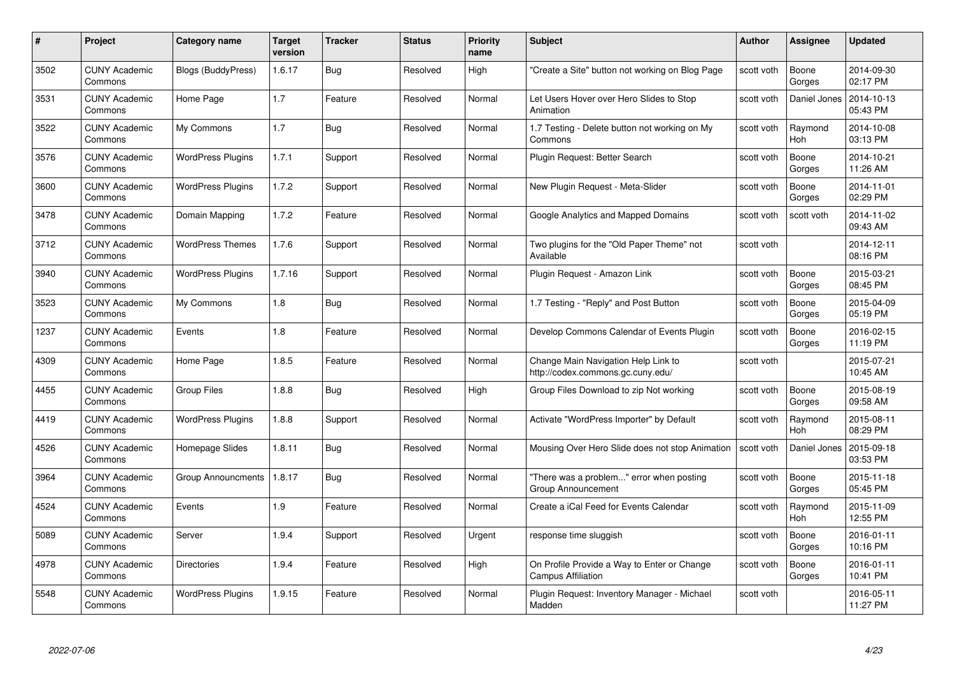| #    | Project                         | <b>Category name</b>     | Target<br>version | <b>Tracker</b> | <b>Status</b> | <b>Priority</b><br>name | <b>Subject</b>                                                           | <b>Author</b> | Assignee        | <b>Updated</b>         |
|------|---------------------------------|--------------------------|-------------------|----------------|---------------|-------------------------|--------------------------------------------------------------------------|---------------|-----------------|------------------------|
| 3502 | <b>CUNY Academic</b><br>Commons | Blogs (BuddyPress)       | 1.6.17            | Bug            | Resolved      | High                    | "Create a Site" button not working on Blog Page                          | scott voth    | Boone<br>Gorges | 2014-09-30<br>02:17 PM |
| 3531 | <b>CUNY Academic</b><br>Commons | Home Page                | 1.7               | Feature        | Resolved      | Normal                  | Let Users Hover over Hero Slides to Stop<br>Animation                    | scott voth    | Daniel Jones    | 2014-10-13<br>05:43 PM |
| 3522 | CUNY Academic<br>Commons        | My Commons               | 1.7               | <b>Bug</b>     | Resolved      | Normal                  | 1.7 Testing - Delete button not working on My<br>Commons                 | scott voth    | Raymond<br>Hoh  | 2014-10-08<br>03:13 PM |
| 3576 | <b>CUNY Academic</b><br>Commons | <b>WordPress Plugins</b> | 1.7.1             | Support        | Resolved      | Normal                  | Plugin Request: Better Search                                            | scott voth    | Boone<br>Gorges | 2014-10-21<br>11:26 AM |
| 3600 | <b>CUNY Academic</b><br>Commons | <b>WordPress Plugins</b> | 1.7.2             | Support        | Resolved      | Normal                  | New Plugin Request - Meta-Slider                                         | scott voth    | Boone<br>Gorges | 2014-11-01<br>02:29 PM |
| 3478 | <b>CUNY Academic</b><br>Commons | Domain Mapping           | 1.7.2             | Feature        | Resolved      | Normal                  | Google Analytics and Mapped Domains                                      | scott voth    | scott voth      | 2014-11-02<br>09:43 AM |
| 3712 | <b>CUNY Academic</b><br>Commons | <b>WordPress Themes</b>  | 1.7.6             | Support        | Resolved      | Normal                  | Two plugins for the "Old Paper Theme" not<br>Available                   | scott voth    |                 | 2014-12-11<br>08:16 PM |
| 3940 | <b>CUNY Academic</b><br>Commons | <b>WordPress Plugins</b> | 1.7.16            | Support        | Resolved      | Normal                  | Plugin Request - Amazon Link                                             | scott voth    | Boone<br>Gorges | 2015-03-21<br>08:45 PM |
| 3523 | <b>CUNY Academic</b><br>Commons | My Commons               | 1.8               | <b>Bug</b>     | Resolved      | Normal                  | 1.7 Testing - "Reply" and Post Button                                    | scott voth    | Boone<br>Gorges | 2015-04-09<br>05:19 PM |
| 1237 | <b>CUNY Academic</b><br>Commons | Events                   | 1.8               | Feature        | Resolved      | Normal                  | Develop Commons Calendar of Events Plugin                                | scott voth    | Boone<br>Gorges | 2016-02-15<br>11:19 PM |
| 4309 | <b>CUNY Academic</b><br>Commons | Home Page                | 1.8.5             | Feature        | Resolved      | Normal                  | Change Main Navigation Help Link to<br>http://codex.commons.gc.cuny.edu/ | scott voth    |                 | 2015-07-21<br>10:45 AM |
| 4455 | <b>CUNY Academic</b><br>Commons | <b>Group Files</b>       | 1.8.8             | <b>Bug</b>     | Resolved      | High                    | Group Files Download to zip Not working                                  | scott voth    | Boone<br>Gorges | 2015-08-19<br>09:58 AM |
| 4419 | <b>CUNY Academic</b><br>Commons | <b>WordPress Plugins</b> | 1.8.8             | Support        | Resolved      | Normal                  | Activate "WordPress Importer" by Default                                 | scott voth    | Raymond<br>Hoh  | 2015-08-11<br>08:29 PM |
| 4526 | <b>CUNY Academic</b><br>Commons | Homepage Slides          | 1.8.11            | <b>Bug</b>     | Resolved      | Normal                  | Mousing Over Hero Slide does not stop Animation                          | scott voth    | Daniel Jones    | 2015-09-18<br>03:53 PM |
| 3964 | <b>CUNY Academic</b><br>Commons | Group Announcments       | 1.8.17            | Bug            | Resolved      | Normal                  | "There was a problem" error when posting<br>Group Announcement           | scott voth    | Boone<br>Gorges | 2015-11-18<br>05:45 PM |
| 4524 | <b>CUNY Academic</b><br>Commons | Events                   | 1.9               | Feature        | Resolved      | Normal                  | Create a iCal Feed for Events Calendar                                   | scott voth    | Raymond<br>Hoh  | 2015-11-09<br>12:55 PM |
| 5089 | <b>CUNY Academic</b><br>Commons | Server                   | 1.9.4             | Support        | Resolved      | Urgent                  | response time sluggish                                                   | scott voth    | Boone<br>Gorges | 2016-01-11<br>10:16 PM |
| 4978 | <b>CUNY Academic</b><br>Commons | Directories              | 1.9.4             | Feature        | Resolved      | High                    | On Profile Provide a Way to Enter or Change<br>Campus Affiliation        | scott voth    | Boone<br>Gorges | 2016-01-11<br>10:41 PM |
| 5548 | CUNY Academic<br>Commons        | <b>WordPress Plugins</b> | 1.9.15            | Feature        | Resolved      | Normal                  | Plugin Reguest: Inventory Manager - Michael<br>Madden                    | scott voth    |                 | 2016-05-11<br>11:27 PM |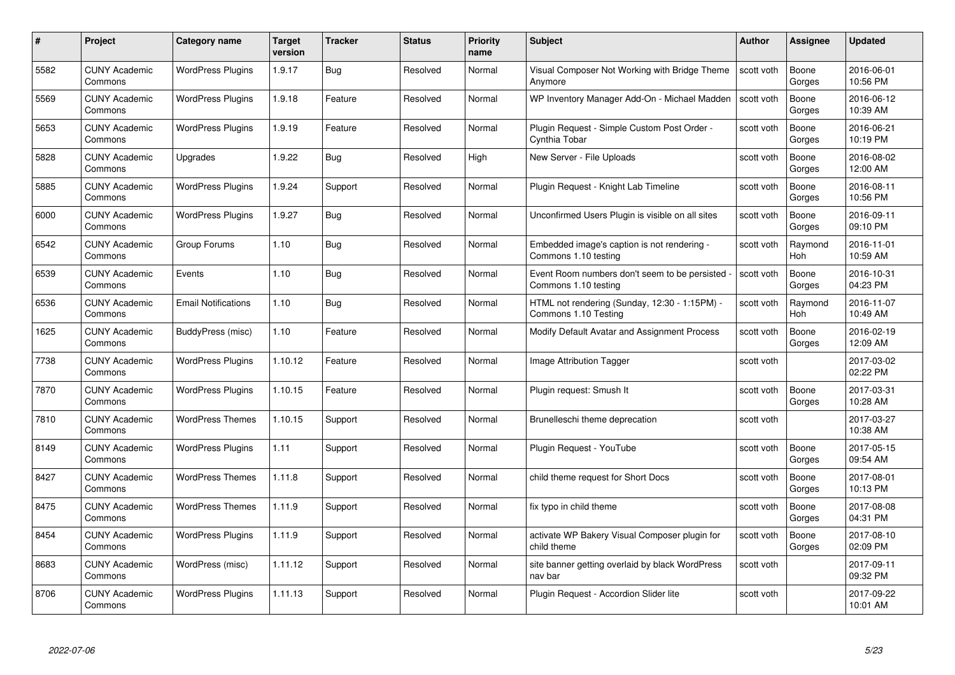| #    | Project                         | <b>Category name</b>       | Target<br>version | <b>Tracker</b> | <b>Status</b> | <b>Priority</b><br>name | <b>Subject</b>                                                        | <b>Author</b> | <b>Assignee</b> | <b>Updated</b>         |
|------|---------------------------------|----------------------------|-------------------|----------------|---------------|-------------------------|-----------------------------------------------------------------------|---------------|-----------------|------------------------|
| 5582 | <b>CUNY Academic</b><br>Commons | <b>WordPress Plugins</b>   | 1.9.17            | Bug            | Resolved      | Normal                  | Visual Composer Not Working with Bridge Theme<br>Anymore              | scott voth    | Boone<br>Gorges | 2016-06-01<br>10:56 PM |
| 5569 | <b>CUNY Academic</b><br>Commons | <b>WordPress Plugins</b>   | 1.9.18            | Feature        | Resolved      | Normal                  | WP Inventory Manager Add-On - Michael Madden                          | scott voth    | Boone<br>Gorges | 2016-06-12<br>10:39 AM |
| 5653 | <b>CUNY Academic</b><br>Commons | <b>WordPress Plugins</b>   | 1.9.19            | Feature        | Resolved      | Normal                  | Plugin Request - Simple Custom Post Order -<br>Cynthia Tobar          | scott voth    | Boone<br>Gorges | 2016-06-21<br>10:19 PM |
| 5828 | <b>CUNY Academic</b><br>Commons | Upgrades                   | 1.9.22            | Bug            | Resolved      | High                    | New Server - File Uploads                                             | scott voth    | Boone<br>Gorges | 2016-08-02<br>12:00 AM |
| 5885 | CUNY Academic<br>Commons        | <b>WordPress Plugins</b>   | 1.9.24            | Support        | Resolved      | Normal                  | Plugin Request - Knight Lab Timeline                                  | scott voth    | Boone<br>Gorges | 2016-08-11<br>10:56 PM |
| 6000 | <b>CUNY Academic</b><br>Commons | <b>WordPress Plugins</b>   | 1.9.27            | <b>Bug</b>     | Resolved      | Normal                  | Unconfirmed Users Plugin is visible on all sites                      | scott voth    | Boone<br>Gorges | 2016-09-11<br>09:10 PM |
| 6542 | <b>CUNY Academic</b><br>Commons | Group Forums               | 1.10              | Bug            | Resolved      | Normal                  | Embedded image's caption is not rendering -<br>Commons 1.10 testing   | scott voth    | Raymond<br>Hoh  | 2016-11-01<br>10:59 AM |
| 6539 | <b>CUNY Academic</b><br>Commons | Events                     | 1.10              | Bug            | Resolved      | Normal                  | Event Room numbers don't seem to be persisted<br>Commons 1.10 testing | scott voth    | Boone<br>Gorges | 2016-10-31<br>04:23 PM |
| 6536 | <b>CUNY Academic</b><br>Commons | <b>Email Notifications</b> | 1.10              | Bug            | Resolved      | Normal                  | HTML not rendering (Sunday, 12:30 - 1:15PM) -<br>Commons 1.10 Testing | scott voth    | Raymond<br>Hoh  | 2016-11-07<br>10:49 AM |
| 1625 | <b>CUNY Academic</b><br>Commons | BuddyPress (misc)          | 1.10              | Feature        | Resolved      | Normal                  | Modify Default Avatar and Assignment Process                          | scott voth    | Boone<br>Gorges | 2016-02-19<br>12:09 AM |
| 7738 | CUNY Academic<br>Commons        | <b>WordPress Plugins</b>   | 1.10.12           | Feature        | Resolved      | Normal                  | Image Attribution Tagger                                              | scott voth    |                 | 2017-03-02<br>02:22 PM |
| 7870 | <b>CUNY Academic</b><br>Commons | <b>WordPress Plugins</b>   | 1.10.15           | Feature        | Resolved      | Normal                  | Plugin request: Smush It                                              | scott voth    | Boone<br>Gorges | 2017-03-31<br>10:28 AM |
| 7810 | <b>CUNY Academic</b><br>Commons | <b>WordPress Themes</b>    | 1.10.15           | Support        | Resolved      | Normal                  | Brunelleschi theme deprecation                                        | scott voth    |                 | 2017-03-27<br>10:38 AM |
| 8149 | <b>CUNY Academic</b><br>Commons | <b>WordPress Plugins</b>   | 1.11              | Support        | Resolved      | Normal                  | Plugin Request - YouTube                                              | scott voth    | Boone<br>Gorges | 2017-05-15<br>09:54 AM |
| 8427 | <b>CUNY Academic</b><br>Commons | <b>WordPress Themes</b>    | 1.11.8            | Support        | Resolved      | Normal                  | child theme request for Short Docs                                    | scott voth    | Boone<br>Gorges | 2017-08-01<br>10:13 PM |
| 8475 | <b>CUNY Academic</b><br>Commons | <b>WordPress Themes</b>    | 1.11.9            | Support        | Resolved      | Normal                  | fix typo in child theme                                               | scott voth    | Boone<br>Gorges | 2017-08-08<br>04:31 PM |
| 8454 | <b>CUNY Academic</b><br>Commons | <b>WordPress Plugins</b>   | 1.11.9            | Support        | Resolved      | Normal                  | activate WP Bakery Visual Composer plugin for<br>child theme          | scott voth    | Boone<br>Gorges | 2017-08-10<br>02:09 PM |
| 8683 | <b>CUNY Academic</b><br>Commons | WordPress (misc)           | 1.11.12           | Support        | Resolved      | Normal                  | site banner getting overlaid by black WordPress<br>nav bar            | scott voth    |                 | 2017-09-11<br>09:32 PM |
| 8706 | CUNY Academic<br>Commons        | <b>WordPress Plugins</b>   | 1.11.13           | Support        | Resolved      | Normal                  | Plugin Reguest - Accordion Slider lite                                | scott voth    |                 | 2017-09-22<br>10:01 AM |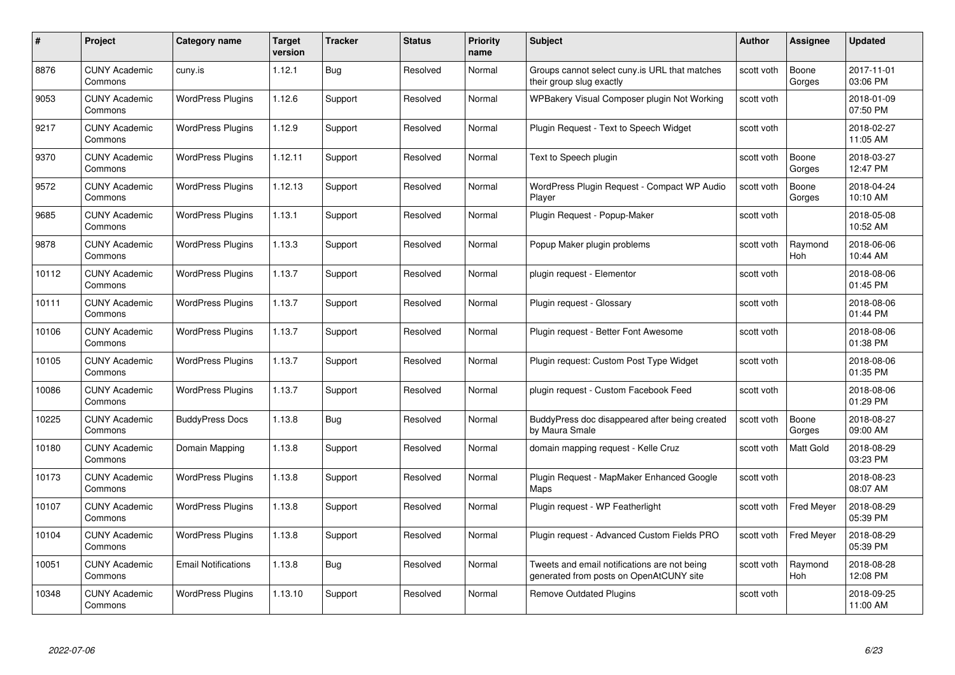| #     | Project                         | <b>Category name</b>       | Target<br>version | <b>Tracker</b> | <b>Status</b> | <b>Priority</b><br>name | <b>Subject</b>                                                                          | <b>Author</b> | <b>Assignee</b>   | <b>Updated</b>         |
|-------|---------------------------------|----------------------------|-------------------|----------------|---------------|-------------------------|-----------------------------------------------------------------------------------------|---------------|-------------------|------------------------|
| 8876  | <b>CUNY Academic</b><br>Commons | cuny.is                    | 1.12.1            | Bug            | Resolved      | Normal                  | Groups cannot select cuny is URL that matches<br>their group slug exactly               | scott voth    | Boone<br>Gorges   | 2017-11-01<br>03:06 PM |
| 9053  | <b>CUNY Academic</b><br>Commons | <b>WordPress Plugins</b>   | 1.12.6            | Support        | Resolved      | Normal                  | WPBakery Visual Composer plugin Not Working                                             | scott voth    |                   | 2018-01-09<br>07:50 PM |
| 9217  | <b>CUNY Academic</b><br>Commons | <b>WordPress Plugins</b>   | 1.12.9            | Support        | Resolved      | Normal                  | Plugin Request - Text to Speech Widget                                                  | scott voth    |                   | 2018-02-27<br>11:05 AM |
| 9370  | <b>CUNY Academic</b><br>Commons | <b>WordPress Plugins</b>   | 1.12.11           | Support        | Resolved      | Normal                  | Text to Speech plugin                                                                   | scott voth    | Boone<br>Gorges   | 2018-03-27<br>12:47 PM |
| 9572  | CUNY Academic<br>Commons        | <b>WordPress Plugins</b>   | 1.12.13           | Support        | Resolved      | Normal                  | WordPress Plugin Request - Compact WP Audio<br>Player                                   | scott voth    | Boone<br>Gorges   | 2018-04-24<br>10:10 AM |
| 9685  | <b>CUNY Academic</b><br>Commons | <b>WordPress Plugins</b>   | 1.13.1            | Support        | Resolved      | Normal                  | Plugin Request - Popup-Maker                                                            | scott voth    |                   | 2018-05-08<br>10:52 AM |
| 9878  | <b>CUNY Academic</b><br>Commons | <b>WordPress Plugins</b>   | 1.13.3            | Support        | Resolved      | Normal                  | Popup Maker plugin problems                                                             | scott voth    | Raymond<br>Hoh    | 2018-06-06<br>10:44 AM |
| 10112 | <b>CUNY Academic</b><br>Commons | <b>WordPress Plugins</b>   | 1.13.7            | Support        | Resolved      | Normal                  | plugin request - Elementor                                                              | scott voth    |                   | 2018-08-06<br>01:45 PM |
| 10111 | <b>CUNY Academic</b><br>Commons | <b>WordPress Plugins</b>   | 1.13.7            | Support        | Resolved      | Normal                  | Plugin request - Glossary                                                               | scott voth    |                   | 2018-08-06<br>01:44 PM |
| 10106 | <b>CUNY Academic</b><br>Commons | <b>WordPress Plugins</b>   | 1.13.7            | Support        | Resolved      | Normal                  | Plugin request - Better Font Awesome                                                    | scott voth    |                   | 2018-08-06<br>01:38 PM |
| 10105 | CUNY Academic<br>Commons        | <b>WordPress Plugins</b>   | 1.13.7            | Support        | Resolved      | Normal                  | Plugin request: Custom Post Type Widget                                                 | scott voth    |                   | 2018-08-06<br>01:35 PM |
| 10086 | <b>CUNY Academic</b><br>Commons | <b>WordPress Plugins</b>   | 1.13.7            | Support        | Resolved      | Normal                  | plugin request - Custom Facebook Feed                                                   | scott voth    |                   | 2018-08-06<br>01:29 PM |
| 10225 | <b>CUNY Academic</b><br>Commons | <b>BuddyPress Docs</b>     | 1.13.8            | Bug            | Resolved      | Normal                  | BuddyPress doc disappeared after being created<br>by Maura Smale                        | scott voth    | Boone<br>Gorges   | 2018-08-27<br>09:00 AM |
| 10180 | <b>CUNY Academic</b><br>Commons | Domain Mapping             | 1.13.8            | Support        | Resolved      | Normal                  | domain mapping request - Kelle Cruz                                                     | scott voth    | Matt Gold         | 2018-08-29<br>03:23 PM |
| 10173 | <b>CUNY Academic</b><br>Commons | <b>WordPress Plugins</b>   | 1.13.8            | Support        | Resolved      | Normal                  | Plugin Request - MapMaker Enhanced Google<br>Maps                                       | scott voth    |                   | 2018-08-23<br>08:07 AM |
| 10107 | <b>CUNY Academic</b><br>Commons | <b>WordPress Plugins</b>   | 1.13.8            | Support        | Resolved      | Normal                  | Plugin request - WP Featherlight                                                        | scott voth    | <b>Fred Meyer</b> | 2018-08-29<br>05:39 PM |
| 10104 | <b>CUNY Academic</b><br>Commons | <b>WordPress Plugins</b>   | 1.13.8            | Support        | Resolved      | Normal                  | Plugin request - Advanced Custom Fields PRO                                             | scott voth    | <b>Fred Meyer</b> | 2018-08-29<br>05:39 PM |
| 10051 | <b>CUNY Academic</b><br>Commons | <b>Email Notifications</b> | 1.13.8            | <b>Bug</b>     | Resolved      | Normal                  | Tweets and email notifications are not being<br>generated from posts on OpenAtCUNY site | scott voth    | Raymond<br>Hoh    | 2018-08-28<br>12:08 PM |
| 10348 | CUNY Academic<br>Commons        | <b>WordPress Plugins</b>   | 1.13.10           | Support        | Resolved      | Normal                  | <b>Remove Outdated Plugins</b>                                                          | scott voth    |                   | 2018-09-25<br>11:00 AM |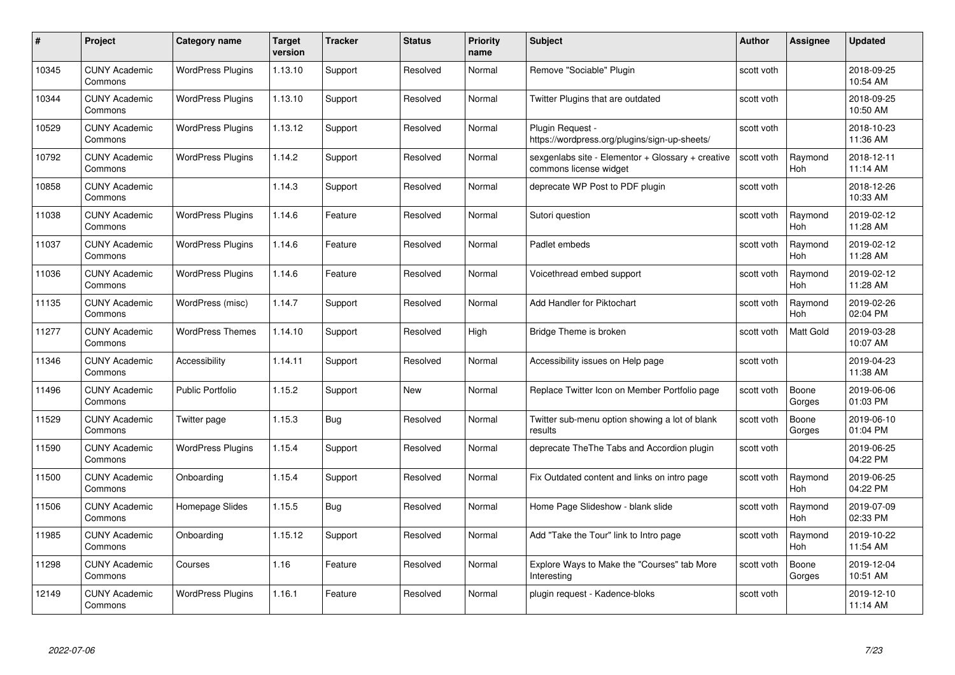| #     | Project                         | Category name            | Target<br>version | <b>Tracker</b> | <b>Status</b> | <b>Priority</b><br>name | <b>Subject</b>                                                              | <b>Author</b> | Assignee              | <b>Updated</b>         |
|-------|---------------------------------|--------------------------|-------------------|----------------|---------------|-------------------------|-----------------------------------------------------------------------------|---------------|-----------------------|------------------------|
| 10345 | <b>CUNY Academic</b><br>Commons | <b>WordPress Plugins</b> | 1.13.10           | Support        | Resolved      | Normal                  | Remove "Sociable" Plugin                                                    | scott voth    |                       | 2018-09-25<br>10:54 AM |
| 10344 | <b>CUNY Academic</b><br>Commons | <b>WordPress Plugins</b> | 1.13.10           | Support        | Resolved      | Normal                  | Twitter Plugins that are outdated                                           | scott voth    |                       | 2018-09-25<br>10:50 AM |
| 10529 | <b>CUNY Academic</b><br>Commons | <b>WordPress Plugins</b> | 1.13.12           | Support        | Resolved      | Normal                  | Plugin Request -<br>https://wordpress.org/plugins/sign-up-sheets/           | scott voth    |                       | 2018-10-23<br>11:36 AM |
| 10792 | <b>CUNY Academic</b><br>Commons | <b>WordPress Plugins</b> | 1.14.2            | Support        | Resolved      | Normal                  | sexgenlabs site - Elementor + Glossary + creative<br>commons license widget | scott voth    | Raymond<br>Hoh        | 2018-12-11<br>11:14 AM |
| 10858 | <b>CUNY Academic</b><br>Commons |                          | 1.14.3            | Support        | Resolved      | Normal                  | deprecate WP Post to PDF plugin                                             | scott voth    |                       | 2018-12-26<br>10:33 AM |
| 11038 | <b>CUNY Academic</b><br>Commons | <b>WordPress Plugins</b> | 1.14.6            | Feature        | Resolved      | Normal                  | Sutori question                                                             | scott voth    | Raymond<br>Hoh        | 2019-02-12<br>11:28 AM |
| 11037 | <b>CUNY Academic</b><br>Commons | <b>WordPress Plugins</b> | 1.14.6            | Feature        | Resolved      | Normal                  | Padlet embeds                                                               | scott voth    | Raymond<br>Hoh        | 2019-02-12<br>11:28 AM |
| 11036 | <b>CUNY Academic</b><br>Commons | <b>WordPress Plugins</b> | 1.14.6            | Feature        | Resolved      | Normal                  | Voicethread embed support                                                   | scott voth    | Raymond<br><b>Hoh</b> | 2019-02-12<br>11:28 AM |
| 11135 | <b>CUNY Academic</b><br>Commons | WordPress (misc)         | 1.14.7            | Support        | Resolved      | Normal                  | Add Handler for Piktochart                                                  | scott voth    | Raymond<br><b>Hoh</b> | 2019-02-26<br>02:04 PM |
| 11277 | <b>CUNY Academic</b><br>Commons | <b>WordPress Themes</b>  | 1.14.10           | Support        | Resolved      | High                    | Bridge Theme is broken                                                      | scott voth    | Matt Gold             | 2019-03-28<br>10:07 AM |
| 11346 | <b>CUNY Academic</b><br>Commons | Accessibility            | 1.14.11           | Support        | Resolved      | Normal                  | Accessibility issues on Help page                                           | scott voth    |                       | 2019-04-23<br>11:38 AM |
| 11496 | <b>CUNY Academic</b><br>Commons | <b>Public Portfolio</b>  | 1.15.2            | Support        | New           | Normal                  | Replace Twitter Icon on Member Portfolio page                               | scott voth    | Boone<br>Gorges       | 2019-06-06<br>01:03 PM |
| 11529 | <b>CUNY Academic</b><br>Commons | Twitter page             | 1.15.3            | <b>Bug</b>     | Resolved      | Normal                  | Twitter sub-menu option showing a lot of blank<br>results                   | scott voth    | Boone<br>Gorges       | 2019-06-10<br>01:04 PM |
| 11590 | <b>CUNY Academic</b><br>Commons | <b>WordPress Plugins</b> | 1.15.4            | Support        | Resolved      | Normal                  | deprecate TheThe Tabs and Accordion plugin                                  | scott voth    |                       | 2019-06-25<br>04:22 PM |
| 11500 | <b>CUNY Academic</b><br>Commons | Onboarding               | 1.15.4            | Support        | Resolved      | Normal                  | Fix Outdated content and links on intro page                                | scott voth    | Raymond<br><b>Hoh</b> | 2019-06-25<br>04:22 PM |
| 11506 | <b>CUNY Academic</b><br>Commons | Homepage Slides          | 1.15.5            | <b>Bug</b>     | Resolved      | Normal                  | Home Page Slideshow - blank slide                                           | scott voth    | Raymond<br><b>Hoh</b> | 2019-07-09<br>02:33 PM |
| 11985 | <b>CUNY Academic</b><br>Commons | Onboarding               | 1.15.12           | Support        | Resolved      | Normal                  | Add "Take the Tour" link to Intro page                                      | scott voth    | Raymond<br><b>Hoh</b> | 2019-10-22<br>11:54 AM |
| 11298 | <b>CUNY Academic</b><br>Commons | Courses                  | 1.16              | Feature        | Resolved      | Normal                  | Explore Ways to Make the "Courses" tab More<br>Interesting                  | scott voth    | Boone<br>Gorges       | 2019-12-04<br>10:51 AM |
| 12149 | <b>CUNY Academic</b><br>Commons | <b>WordPress Plugins</b> | 1.16.1            | Feature        | Resolved      | Normal                  | plugin request - Kadence-bloks                                              | scott voth    |                       | 2019-12-10<br>11:14 AM |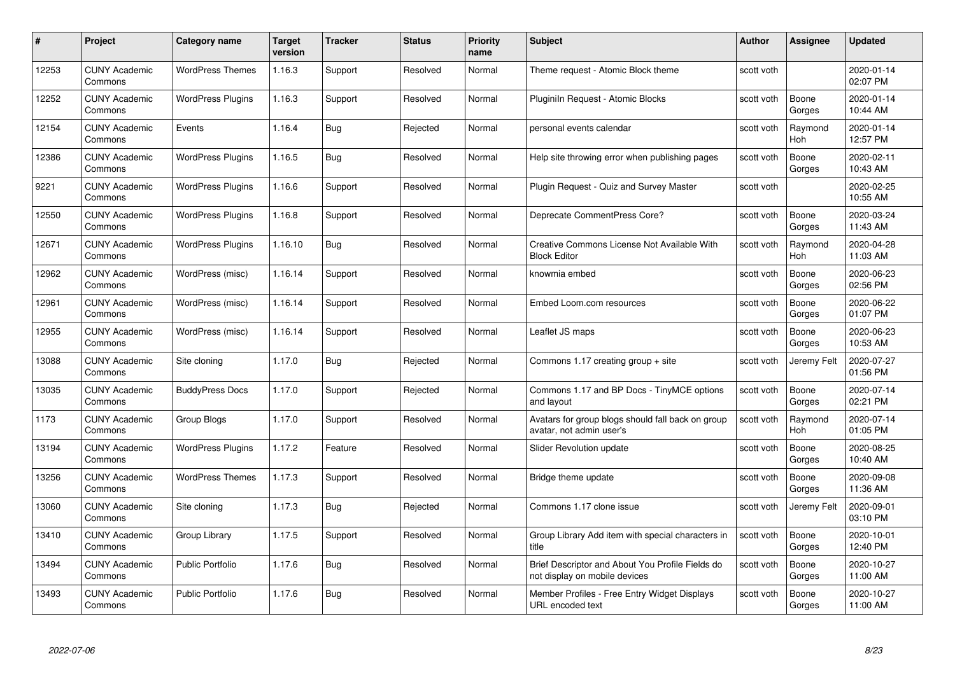|       | Project                         | <b>Category name</b>     | Target<br>version | <b>Tracker</b> | <b>Status</b> | <b>Priority</b><br>name | <b>Subject</b>                                                                    | <b>Author</b> | <b>Assignee</b> | <b>Updated</b>         |
|-------|---------------------------------|--------------------------|-------------------|----------------|---------------|-------------------------|-----------------------------------------------------------------------------------|---------------|-----------------|------------------------|
| 12253 | <b>CUNY Academic</b><br>Commons | <b>WordPress Themes</b>  | 1.16.3            | Support        | Resolved      | Normal                  | Theme request - Atomic Block theme                                                | scott voth    |                 | 2020-01-14<br>02:07 PM |
| 12252 | <b>CUNY Academic</b><br>Commons | <b>WordPress Plugins</b> | 1.16.3            | Support        | Resolved      | Normal                  | Pluginiln Request - Atomic Blocks                                                 | scott voth    | Boone<br>Gorges | 2020-01-14<br>10:44 AM |
| 12154 | <b>CUNY Academic</b><br>Commons | Events                   | 1.16.4            | Bug            | Rejected      | Normal                  | personal events calendar                                                          | scott voth    | Raymond<br>Hoh  | 2020-01-14<br>12:57 PM |
| 12386 | <b>CUNY Academic</b><br>Commons | <b>WordPress Plugins</b> | 1.16.5            | Bug            | Resolved      | Normal                  | Help site throwing error when publishing pages                                    | scott voth    | Boone<br>Gorges | 2020-02-11<br>10:43 AM |
| 9221  | <b>CUNY Academic</b><br>Commons | <b>WordPress Plugins</b> | 1.16.6            | Support        | Resolved      | Normal                  | Plugin Request - Quiz and Survey Master                                           | scott voth    |                 | 2020-02-25<br>10:55 AM |
| 12550 | <b>CUNY Academic</b><br>Commons | <b>WordPress Plugins</b> | 1.16.8            | Support        | Resolved      | Normal                  | Deprecate CommentPress Core?                                                      | scott voth    | Boone<br>Gorges | 2020-03-24<br>11:43 AM |
| 12671 | <b>CUNY Academic</b><br>Commons | <b>WordPress Plugins</b> | 1.16.10           | Bug            | Resolved      | Normal                  | Creative Commons License Not Available With<br><b>Block Editor</b>                | scott voth    | Raymond<br>Hoh  | 2020-04-28<br>11:03 AM |
| 12962 | <b>CUNY Academic</b><br>Commons | WordPress (misc)         | 1.16.14           | Support        | Resolved      | Normal                  | knowmia embed                                                                     | scott voth    | Boone<br>Gorges | 2020-06-23<br>02:56 PM |
| 12961 | <b>CUNY Academic</b><br>Commons | WordPress (misc)         | 1.16.14           | Support        | Resolved      | Normal                  | Embed Loom.com resources                                                          | scott voth    | Boone<br>Gorges | 2020-06-22<br>01:07 PM |
| 12955 | <b>CUNY Academic</b><br>Commons | WordPress (misc)         | 1.16.14           | Support        | Resolved      | Normal                  | Leaflet JS maps                                                                   | scott voth    | Boone<br>Gorges | 2020-06-23<br>10:53 AM |
| 13088 | <b>CUNY Academic</b><br>Commons | Site cloning             | 1.17.0            | Bug            | Rejected      | Normal                  | Commons 1.17 creating group + site                                                | scott voth    | Jeremy Felt     | 2020-07-27<br>01:56 PM |
| 13035 | <b>CUNY Academic</b><br>Commons | <b>BuddyPress Docs</b>   | 1.17.0            | Support        | Rejected      | Normal                  | Commons 1.17 and BP Docs - TinyMCE options<br>and layout                          | scott voth    | Boone<br>Gorges | 2020-07-14<br>02:21 PM |
| 1173  | <b>CUNY Academic</b><br>Commons | Group Blogs              | 1.17.0            | Support        | Resolved      | Normal                  | Avatars for group blogs should fall back on group<br>avatar, not admin user's     | scott voth    | Raymond<br>Hoh  | 2020-07-14<br>01:05 PM |
| 13194 | <b>CUNY Academic</b><br>Commons | <b>WordPress Plugins</b> | 1.17.2            | Feature        | Resolved      | Normal                  | Slider Revolution update                                                          | scott voth    | Boone<br>Gorges | 2020-08-25<br>10:40 AM |
| 13256 | <b>CUNY Academic</b><br>Commons | <b>WordPress Themes</b>  | 1.17.3            | Support        | Resolved      | Normal                  | Bridge theme update                                                               | scott voth    | Boone<br>Gorges | 2020-09-08<br>11:36 AM |
| 13060 | <b>CUNY Academic</b><br>Commons | Site cloning             | 1.17.3            | <b>Bug</b>     | Rejected      | Normal                  | Commons 1.17 clone issue                                                          | scott voth    | Jeremy Felt     | 2020-09-01<br>03:10 PM |
| 13410 | <b>CUNY Academic</b><br>Commons | Group Library            | 1.17.5            | Support        | Resolved      | Normal                  | Group Library Add item with special characters in<br>title                        | scott voth    | Boone<br>Gorges | 2020-10-01<br>12:40 PM |
| 13494 | <b>CUNY Academic</b><br>Commons | <b>Public Portfolio</b>  | 1.17.6            | <b>Bug</b>     | Resolved      | Normal                  | Brief Descriptor and About You Profile Fields do<br>not display on mobile devices | scott voth    | Boone<br>Gorges | 2020-10-27<br>11:00 AM |
| 13493 | <b>CUNY Academic</b><br>Commons | <b>Public Portfolio</b>  | 1.17.6            | <b>Bug</b>     | Resolved      | Normal                  | Member Profiles - Free Entry Widget Displays<br>URL encoded text                  | scott voth    | Boone<br>Gorges | 2020-10-27<br>11:00 AM |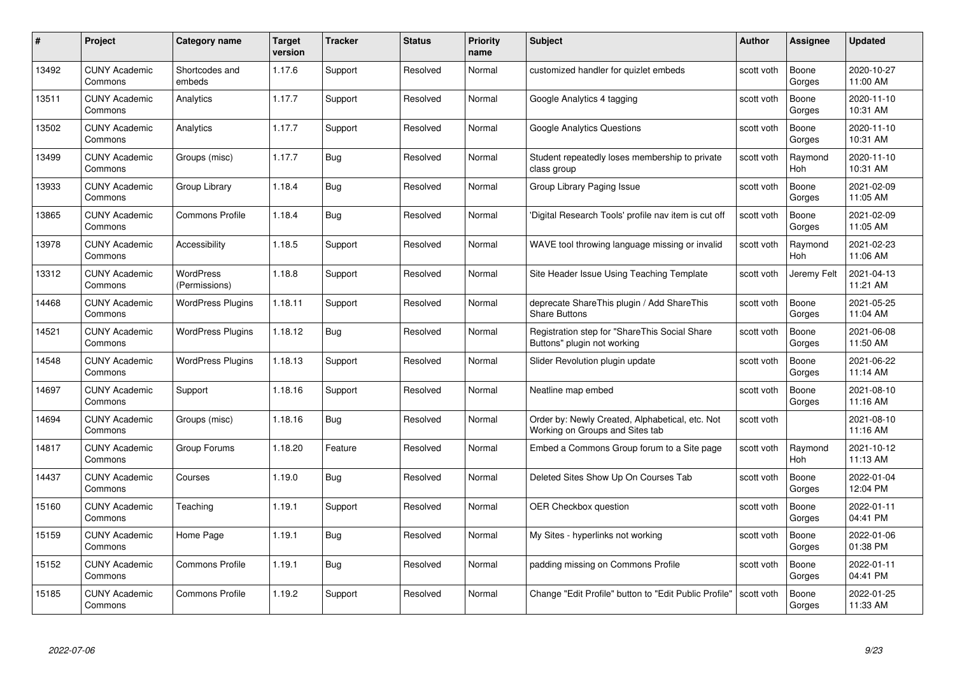| #     | Project                         | <b>Category name</b>       | Target<br>version | <b>Tracker</b> | <b>Status</b> | <b>Priority</b><br>name | <b>Subject</b>                                                                     | <b>Author</b> | Assignee        | <b>Updated</b>         |
|-------|---------------------------------|----------------------------|-------------------|----------------|---------------|-------------------------|------------------------------------------------------------------------------------|---------------|-----------------|------------------------|
| 13492 | <b>CUNY Academic</b><br>Commons | Shortcodes and<br>embeds   | 1.17.6            | Support        | Resolved      | Normal                  | customized handler for quizlet embeds                                              | scott voth    | Boone<br>Gorges | 2020-10-27<br>11:00 AM |
| 13511 | <b>CUNY Academic</b><br>Commons | Analytics                  | 1.17.7            | Support        | Resolved      | Normal                  | Google Analytics 4 tagging                                                         | scott voth    | Boone<br>Gorges | 2020-11-10<br>10:31 AM |
| 13502 | <b>CUNY Academic</b><br>Commons | Analytics                  | 1.17.7            | Support        | Resolved      | Normal                  | Google Analytics Questions                                                         | scott voth    | Boone<br>Gorges | 2020-11-10<br>10:31 AM |
| 13499 | <b>CUNY Academic</b><br>Commons | Groups (misc)              | 1.17.7            | Bug            | Resolved      | Normal                  | Student repeatedly loses membership to private<br>class group                      | scott voth    | Raymond<br>Hoh  | 2020-11-10<br>10:31 AM |
| 13933 | <b>CUNY Academic</b><br>Commons | Group Library              | 1.18.4            | Bug            | Resolved      | Normal                  | Group Library Paging Issue                                                         | scott voth    | Boone<br>Gorges | 2021-02-09<br>11:05 AM |
| 13865 | <b>CUNY Academic</b><br>Commons | <b>Commons Profile</b>     | 1.18.4            | <b>Bug</b>     | Resolved      | Normal                  | 'Digital Research Tools' profile nav item is cut off                               | scott voth    | Boone<br>Gorges | 2021-02-09<br>11:05 AM |
| 13978 | <b>CUNY Academic</b><br>Commons | Accessibility              | 1.18.5            | Support        | Resolved      | Normal                  | WAVE tool throwing language missing or invalid                                     | scott voth    | Raymond<br>Hoh  | 2021-02-23<br>11:06 AM |
| 13312 | <b>CUNY Academic</b><br>Commons | WordPress<br>(Permissions) | 1.18.8            | Support        | Resolved      | Normal                  | Site Header Issue Using Teaching Template                                          | scott voth    | Jeremy Felt     | 2021-04-13<br>11:21 AM |
| 14468 | <b>CUNY Academic</b><br>Commons | <b>WordPress Plugins</b>   | 1.18.11           | Support        | Resolved      | Normal                  | deprecate ShareThis plugin / Add ShareThis<br><b>Share Buttons</b>                 | scott voth    | Boone<br>Gorges | 2021-05-25<br>11:04 AM |
| 14521 | <b>CUNY Academic</b><br>Commons | <b>WordPress Plugins</b>   | 1.18.12           | Bug            | Resolved      | Normal                  | Registration step for "ShareThis Social Share<br>Buttons" plugin not working       | scott voth    | Boone<br>Gorges | 2021-06-08<br>11:50 AM |
| 14548 | CUNY Academic<br>Commons        | <b>WordPress Plugins</b>   | 1.18.13           | Support        | Resolved      | Normal                  | Slider Revolution plugin update                                                    | scott voth    | Boone<br>Gorges | 2021-06-22<br>11:14 AM |
| 14697 | <b>CUNY Academic</b><br>Commons | Support                    | 1.18.16           | Support        | Resolved      | Normal                  | Neatline map embed                                                                 | scott voth    | Boone<br>Gorges | 2021-08-10<br>11:16 AM |
| 14694 | <b>CUNY Academic</b><br>Commons | Groups (misc)              | 1.18.16           | <b>Bug</b>     | Resolved      | Normal                  | Order by: Newly Created, Alphabetical, etc. Not<br>Working on Groups and Sites tab | scott voth    |                 | 2021-08-10<br>11:16 AM |
| 14817 | <b>CUNY Academic</b><br>Commons | Group Forums               | 1.18.20           | Feature        | Resolved      | Normal                  | Embed a Commons Group forum to a Site page                                         | scott voth    | Raymond<br>Hoh  | 2021-10-12<br>11:13 AM |
| 14437 | <b>CUNY Academic</b><br>Commons | Courses                    | 1.19.0            | Bug            | Resolved      | Normal                  | Deleted Sites Show Up On Courses Tab                                               | scott voth    | Boone<br>Gorges | 2022-01-04<br>12:04 PM |
| 15160 | <b>CUNY Academic</b><br>Commons | Teaching                   | 1.19.1            | Support        | Resolved      | Normal                  | <b>OER Checkbox question</b>                                                       | scott voth    | Boone<br>Gorges | 2022-01-11<br>04:41 PM |
| 15159 | <b>CUNY Academic</b><br>Commons | Home Page                  | 1.19.1            | <b>Bug</b>     | Resolved      | Normal                  | My Sites - hyperlinks not working                                                  | scott voth    | Boone<br>Gorges | 2022-01-06<br>01:38 PM |
| 15152 | <b>CUNY Academic</b><br>Commons | <b>Commons Profile</b>     | 1.19.1            | <b>Bug</b>     | Resolved      | Normal                  | padding missing on Commons Profile                                                 | scott voth    | Boone<br>Gorges | 2022-01-11<br>04:41 PM |
| 15185 | <b>CUNY Academic</b><br>Commons | <b>Commons Profile</b>     | 1.19.2            | Support        | Resolved      | Normal                  | Change "Edit Profile" button to "Edit Public Profile"                              | scott voth    | Boone<br>Gorges | 2022-01-25<br>11:33 AM |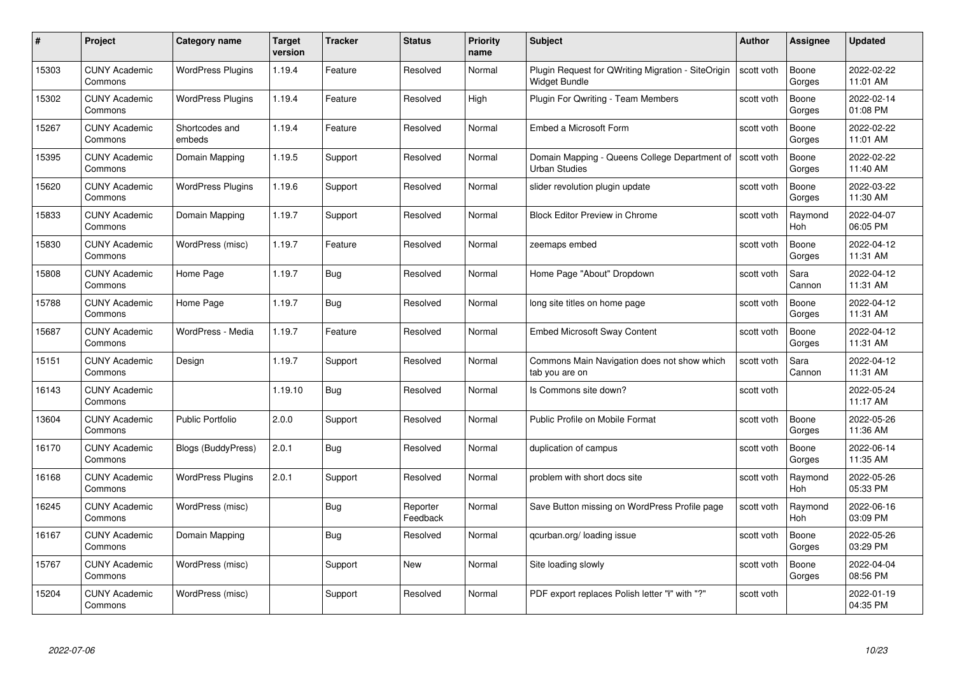| #     | Project                         | <b>Category name</b>     | <b>Target</b><br>version | <b>Tracker</b> | <b>Status</b>        | <b>Priority</b><br>name | <b>Subject</b>                                                             | <b>Author</b> | <b>Assignee</b> | <b>Updated</b>         |
|-------|---------------------------------|--------------------------|--------------------------|----------------|----------------------|-------------------------|----------------------------------------------------------------------------|---------------|-----------------|------------------------|
| 15303 | <b>CUNY Academic</b><br>Commons | <b>WordPress Plugins</b> | 1.19.4                   | Feature        | Resolved             | Normal                  | Plugin Request for QWriting Migration - SiteOrigin<br><b>Widget Bundle</b> | scott voth    | Boone<br>Gorges | 2022-02-22<br>11:01 AM |
| 15302 | <b>CUNY Academic</b><br>Commons | <b>WordPress Plugins</b> | 1.19.4                   | Feature        | Resolved             | High                    | Plugin For Qwriting - Team Members                                         | scott voth    | Boone<br>Gorges | 2022-02-14<br>01:08 PM |
| 15267 | <b>CUNY Academic</b><br>Commons | Shortcodes and<br>embeds | 1.19.4                   | Feature        | Resolved             | Normal                  | Embed a Microsoft Form                                                     | scott voth    | Boone<br>Gorges | 2022-02-22<br>11:01 AM |
| 15395 | <b>CUNY Academic</b><br>Commons | Domain Mapping           | 1.19.5                   | Support        | Resolved             | Normal                  | Domain Mapping - Queens College Department of<br><b>Urban Studies</b>      | scott voth    | Boone<br>Gorges | 2022-02-22<br>11:40 AM |
| 15620 | <b>CUNY Academic</b><br>Commons | <b>WordPress Plugins</b> | 1.19.6                   | Support        | Resolved             | Normal                  | slider revolution plugin update                                            | scott voth    | Boone<br>Gorges | 2022-03-22<br>11:30 AM |
| 15833 | <b>CUNY Academic</b><br>Commons | Domain Mapping           | 1.19.7                   | Support        | Resolved             | Normal                  | <b>Block Editor Preview in Chrome</b>                                      | scott voth    | Raymond<br>Hoh  | 2022-04-07<br>06:05 PM |
| 15830 | <b>CUNY Academic</b><br>Commons | WordPress (misc)         | 1.19.7                   | Feature        | Resolved             | Normal                  | zeemaps embed                                                              | scott voth    | Boone<br>Gorges | 2022-04-12<br>11:31 AM |
| 15808 | <b>CUNY Academic</b><br>Commons | Home Page                | 1.19.7                   | Bug            | Resolved             | Normal                  | Home Page "About" Dropdown                                                 | scott voth    | Sara<br>Cannon  | 2022-04-12<br>11:31 AM |
| 15788 | <b>CUNY Academic</b><br>Commons | Home Page                | 1.19.7                   | <b>Bug</b>     | Resolved             | Normal                  | long site titles on home page                                              | scott voth    | Boone<br>Gorges | 2022-04-12<br>11:31 AM |
| 15687 | <b>CUNY Academic</b><br>Commons | WordPress - Media        | 1.19.7                   | Feature        | Resolved             | Normal                  | <b>Embed Microsoft Sway Content</b>                                        | scott voth    | Boone<br>Gorges | 2022-04-12<br>11:31 AM |
| 15151 | CUNY Academic<br>Commons        | Design                   | 1.19.7                   | Support        | Resolved             | Normal                  | Commons Main Navigation does not show which<br>tab you are on              | scott voth    | Sara<br>Cannon  | 2022-04-12<br>11:31 AM |
| 16143 | <b>CUNY Academic</b><br>Commons |                          | 1.19.10                  | <b>Bug</b>     | Resolved             | Normal                  | Is Commons site down?                                                      | scott voth    |                 | 2022-05-24<br>11:17 AM |
| 13604 | <b>CUNY Academic</b><br>Commons | <b>Public Portfolio</b>  | 2.0.0                    | Support        | Resolved             | Normal                  | Public Profile on Mobile Format                                            | scott voth    | Boone<br>Gorges | 2022-05-26<br>11:36 AM |
| 16170 | <b>CUNY Academic</b><br>Commons | Blogs (BuddyPress)       | 2.0.1                    | <b>Bug</b>     | Resolved             | Normal                  | duplication of campus                                                      | scott voth    | Boone<br>Gorges | 2022-06-14<br>11:35 AM |
| 16168 | <b>CUNY Academic</b><br>Commons | <b>WordPress Plugins</b> | 2.0.1                    | Support        | Resolved             | Normal                  | problem with short docs site                                               | scott voth    | Raymond<br>Hoh  | 2022-05-26<br>05:33 PM |
| 16245 | <b>CUNY Academic</b><br>Commons | WordPress (misc)         |                          | Bug            | Reporter<br>Feedback | Normal                  | Save Button missing on WordPress Profile page                              | scott voth    | Raymond<br>Hoh  | 2022-06-16<br>03:09 PM |
| 16167 | <b>CUNY Academic</b><br>Commons | Domain Mapping           |                          | Bug            | Resolved             | Normal                  | qcurban.org/loading issue                                                  | scott voth    | Boone<br>Gorges | 2022-05-26<br>03:29 PM |
| 15767 | <b>CUNY Academic</b><br>Commons | WordPress (misc)         |                          | Support        | New                  | Normal                  | Site loading slowly                                                        | scott voth    | Boone<br>Gorges | 2022-04-04<br>08:56 PM |
| 15204 | CUNY Academic<br>Commons        | WordPress (misc)         |                          | Support        | Resolved             | Normal                  | PDF export replaces Polish letter "ł" with "?"                             | scott voth    |                 | 2022-01-19<br>04:35 PM |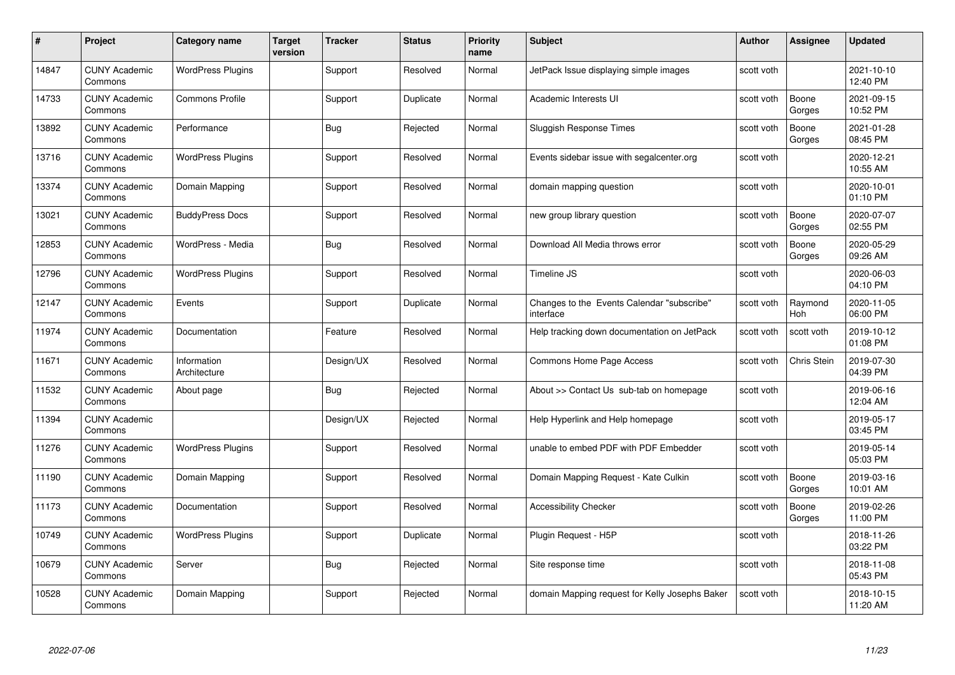| #     | Project                         | Category name               | <b>Target</b><br>version | <b>Tracker</b> | <b>Status</b> | <b>Priority</b><br>name | <b>Subject</b>                                          | <b>Author</b> | <b>Assignee</b> | <b>Updated</b>         |
|-------|---------------------------------|-----------------------------|--------------------------|----------------|---------------|-------------------------|---------------------------------------------------------|---------------|-----------------|------------------------|
| 14847 | <b>CUNY Academic</b><br>Commons | <b>WordPress Plugins</b>    |                          | Support        | Resolved      | Normal                  | JetPack Issue displaying simple images                  | scott voth    |                 | 2021-10-10<br>12:40 PM |
| 14733 | <b>CUNY Academic</b><br>Commons | <b>Commons Profile</b>      |                          | Support        | Duplicate     | Normal                  | Academic Interests UI                                   | scott voth    | Boone<br>Gorges | 2021-09-15<br>10:52 PM |
| 13892 | <b>CUNY Academic</b><br>Commons | Performance                 |                          | Bug            | Rejected      | Normal                  | <b>Sluggish Response Times</b>                          | scott voth    | Boone<br>Gorges | 2021-01-28<br>08:45 PM |
| 13716 | <b>CUNY Academic</b><br>Commons | <b>WordPress Plugins</b>    |                          | Support        | Resolved      | Normal                  | Events sidebar issue with segalcenter.org               | scott voth    |                 | 2020-12-21<br>10:55 AM |
| 13374 | <b>CUNY Academic</b><br>Commons | Domain Mapping              |                          | Support        | Resolved      | Normal                  | domain mapping question                                 | scott voth    |                 | 2020-10-01<br>01:10 PM |
| 13021 | <b>CUNY Academic</b><br>Commons | <b>BuddyPress Docs</b>      |                          | Support        | Resolved      | Normal                  | new group library question                              | scott voth    | Boone<br>Gorges | 2020-07-07<br>02:55 PM |
| 12853 | <b>CUNY Academic</b><br>Commons | WordPress - Media           |                          | Bug            | Resolved      | Normal                  | Download All Media throws error                         | scott voth    | Boone<br>Gorges | 2020-05-29<br>09:26 AM |
| 12796 | <b>CUNY Academic</b><br>Commons | <b>WordPress Plugins</b>    |                          | Support        | Resolved      | Normal                  | Timeline JS                                             | scott voth    |                 | 2020-06-03<br>04:10 PM |
| 12147 | <b>CUNY Academic</b><br>Commons | Events                      |                          | Support        | Duplicate     | Normal                  | Changes to the Events Calendar "subscribe"<br>interface | scott voth    | Raymond<br>Hoh  | 2020-11-05<br>06:00 PM |
| 11974 | <b>CUNY Academic</b><br>Commons | Documentation               |                          | Feature        | Resolved      | Normal                  | Help tracking down documentation on JetPack             | scott voth    | scott voth      | 2019-10-12<br>01:08 PM |
| 11671 | <b>CUNY Academic</b><br>Commons | Information<br>Architecture |                          | Design/UX      | Resolved      | Normal                  | Commons Home Page Access                                | scott voth    | Chris Stein     | 2019-07-30<br>04:39 PM |
| 11532 | <b>CUNY Academic</b><br>Commons | About page                  |                          | <b>Bug</b>     | Rejected      | Normal                  | About >> Contact Us sub-tab on homepage                 | scott voth    |                 | 2019-06-16<br>12:04 AM |
| 11394 | <b>CUNY Academic</b><br>Commons |                             |                          | Design/UX      | Rejected      | Normal                  | Help Hyperlink and Help homepage                        | scott voth    |                 | 2019-05-17<br>03:45 PM |
| 11276 | <b>CUNY Academic</b><br>Commons | <b>WordPress Plugins</b>    |                          | Support        | Resolved      | Normal                  | unable to embed PDF with PDF Embedder                   | scott voth    |                 | 2019-05-14<br>05:03 PM |
| 11190 | <b>CUNY Academic</b><br>Commons | Domain Mapping              |                          | Support        | Resolved      | Normal                  | Domain Mapping Request - Kate Culkin                    | scott voth    | Boone<br>Gorges | 2019-03-16<br>10:01 AM |
| 11173 | <b>CUNY Academic</b><br>Commons | Documentation               |                          | Support        | Resolved      | Normal                  | <b>Accessibility Checker</b>                            | scott voth    | Boone<br>Gorges | 2019-02-26<br>11:00 PM |
| 10749 | <b>CUNY Academic</b><br>Commons | <b>WordPress Plugins</b>    |                          | Support        | Duplicate     | Normal                  | Plugin Request - H5P                                    | scott voth    |                 | 2018-11-26<br>03:22 PM |
| 10679 | <b>CUNY Academic</b><br>Commons | Server                      |                          | <b>Bug</b>     | Rejected      | Normal                  | Site response time                                      | scott voth    |                 | 2018-11-08<br>05:43 PM |
| 10528 | <b>CUNY Academic</b><br>Commons | Domain Mapping              |                          | Support        | Rejected      | Normal                  | domain Mapping request for Kelly Josephs Baker          | scott voth    |                 | 2018-10-15<br>11:20 AM |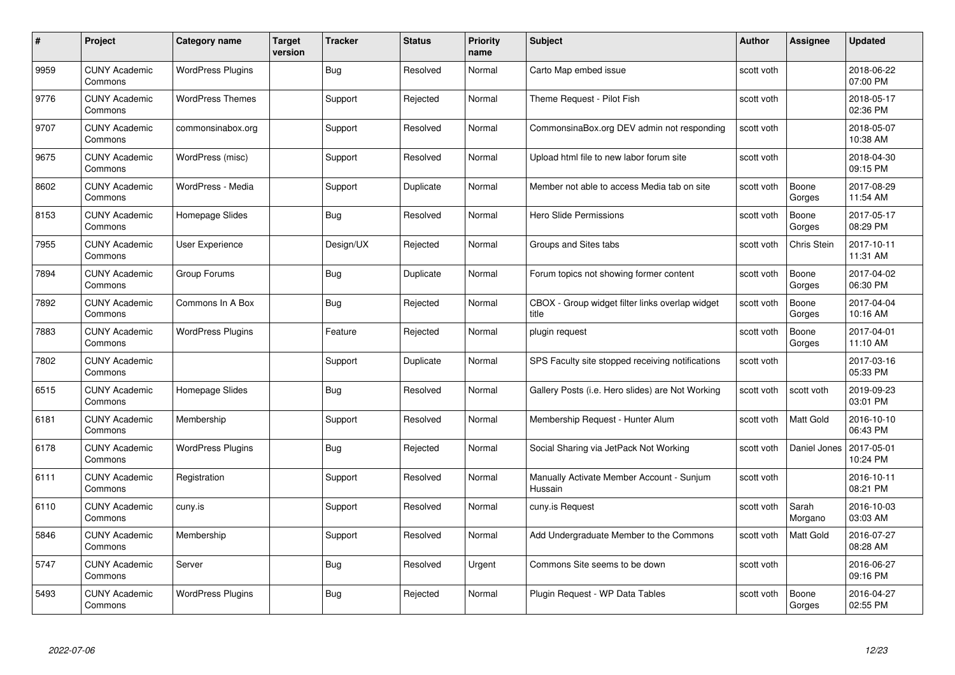| #    | Project                         | Category name            | Target<br>version | <b>Tracker</b> | <b>Status</b> | <b>Priority</b><br>name | <b>Subject</b>                                           | <b>Author</b> | <b>Assignee</b>    | <b>Updated</b>         |
|------|---------------------------------|--------------------------|-------------------|----------------|---------------|-------------------------|----------------------------------------------------------|---------------|--------------------|------------------------|
| 9959 | <b>CUNY Academic</b><br>Commons | <b>WordPress Plugins</b> |                   | <b>Bug</b>     | Resolved      | Normal                  | Carto Map embed issue                                    | scott voth    |                    | 2018-06-22<br>07:00 PM |
| 9776 | <b>CUNY Academic</b><br>Commons | <b>WordPress Themes</b>  |                   | Support        | Rejected      | Normal                  | Theme Request - Pilot Fish                               | scott voth    |                    | 2018-05-17<br>02:36 PM |
| 9707 | <b>CUNY Academic</b><br>Commons | commonsinabox.org        |                   | Support        | Resolved      | Normal                  | CommonsinaBox.org DEV admin not responding               | scott voth    |                    | 2018-05-07<br>10:38 AM |
| 9675 | <b>CUNY Academic</b><br>Commons | WordPress (misc)         |                   | Support        | Resolved      | Normal                  | Upload html file to new labor forum site                 | scott voth    |                    | 2018-04-30<br>09:15 PM |
| 8602 | <b>CUNY Academic</b><br>Commons | WordPress - Media        |                   | Support        | Duplicate     | Normal                  | Member not able to access Media tab on site              | scott voth    | Boone<br>Gorges    | 2017-08-29<br>11:54 AM |
| 8153 | <b>CUNY Academic</b><br>Commons | Homepage Slides          |                   | Bug            | Resolved      | Normal                  | <b>Hero Slide Permissions</b>                            | scott voth    | Boone<br>Gorges    | 2017-05-17<br>08:29 PM |
| 7955 | <b>CUNY Academic</b><br>Commons | User Experience          |                   | Design/UX      | Rejected      | Normal                  | Groups and Sites tabs                                    | scott voth    | <b>Chris Stein</b> | 2017-10-11<br>11:31 AM |
| 7894 | <b>CUNY Academic</b><br>Commons | Group Forums             |                   | <b>Bug</b>     | Duplicate     | Normal                  | Forum topics not showing former content                  | scott voth    | Boone<br>Gorges    | 2017-04-02<br>06:30 PM |
| 7892 | <b>CUNY Academic</b><br>Commons | Commons In A Box         |                   | Bug            | Rejected      | Normal                  | CBOX - Group widget filter links overlap widget<br>title | scott voth    | Boone<br>Gorges    | 2017-04-04<br>10:16 AM |
| 7883 | <b>CUNY Academic</b><br>Commons | <b>WordPress Plugins</b> |                   | Feature        | Rejected      | Normal                  | plugin request                                           | scott voth    | Boone<br>Gorges    | 2017-04-01<br>11:10 AM |
| 7802 | <b>CUNY Academic</b><br>Commons |                          |                   | Support        | Duplicate     | Normal                  | SPS Faculty site stopped receiving notifications         | scott voth    |                    | 2017-03-16<br>05:33 PM |
| 6515 | <b>CUNY Academic</b><br>Commons | Homepage Slides          |                   | Bug            | Resolved      | Normal                  | Gallery Posts (i.e. Hero slides) are Not Working         | scott voth    | scott voth         | 2019-09-23<br>03:01 PM |
| 6181 | <b>CUNY Academic</b><br>Commons | Membership               |                   | Support        | Resolved      | Normal                  | Membership Request - Hunter Alum                         | scott voth    | Matt Gold          | 2016-10-10<br>06:43 PM |
| 6178 | <b>CUNY Academic</b><br>Commons | <b>WordPress Plugins</b> |                   | Bug            | Rejected      | Normal                  | Social Sharing via JetPack Not Working                   | scott voth    | Daniel Jones       | 2017-05-01<br>10:24 PM |
| 6111 | CUNY Academic<br>Commons        | Registration             |                   | Support        | Resolved      | Normal                  | Manually Activate Member Account - Sunjum<br>Hussain     | scott voth    |                    | 2016-10-11<br>08:21 PM |
| 6110 | <b>CUNY Academic</b><br>Commons | cuny.is                  |                   | Support        | Resolved      | Normal                  | cuny.is Request                                          | scott voth    | Sarah<br>Morgano   | 2016-10-03<br>03:03 AM |
| 5846 | <b>CUNY Academic</b><br>Commons | Membership               |                   | Support        | Resolved      | Normal                  | Add Undergraduate Member to the Commons                  | scott voth    | <b>Matt Gold</b>   | 2016-07-27<br>08:28 AM |
| 5747 | <b>CUNY Academic</b><br>Commons | Server                   |                   | Bug            | Resolved      | Urgent                  | Commons Site seems to be down                            | scott voth    |                    | 2016-06-27<br>09:16 PM |
| 5493 | CUNY Academic<br>Commons        | <b>WordPress Plugins</b> |                   | Bug            | Rejected      | Normal                  | Plugin Reguest - WP Data Tables                          | scott voth    | Boone<br>Gorges    | 2016-04-27<br>02:55 PM |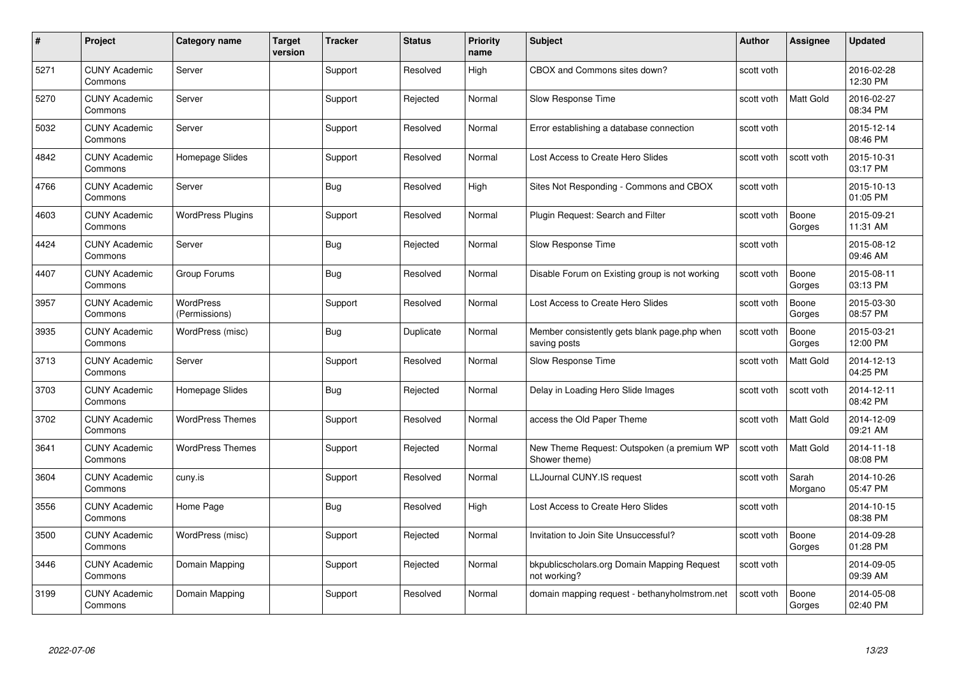| #    | Project                         | Category name              | Target<br>version | <b>Tracker</b> | <b>Status</b> | <b>Priority</b><br>name | <b>Subject</b>                                               | <b>Author</b> | Assignee         | <b>Updated</b>         |
|------|---------------------------------|----------------------------|-------------------|----------------|---------------|-------------------------|--------------------------------------------------------------|---------------|------------------|------------------------|
| 5271 | <b>CUNY Academic</b><br>Commons | Server                     |                   | Support        | Resolved      | High                    | CBOX and Commons sites down?                                 | scott voth    |                  | 2016-02-28<br>12:30 PM |
| 5270 | <b>CUNY Academic</b><br>Commons | Server                     |                   | Support        | Rejected      | Normal                  | Slow Response Time                                           | scott voth    | Matt Gold        | 2016-02-27<br>08:34 PM |
| 5032 | <b>CUNY Academic</b><br>Commons | Server                     |                   | Support        | Resolved      | Normal                  | Error establishing a database connection                     | scott voth    |                  | 2015-12-14<br>08:46 PM |
| 4842 | <b>CUNY Academic</b><br>Commons | Homepage Slides            |                   | Support        | Resolved      | Normal                  | Lost Access to Create Hero Slides                            | scott voth    | scott voth       | 2015-10-31<br>03:17 PM |
| 4766 | <b>CUNY Academic</b><br>Commons | Server                     |                   | Bug            | Resolved      | High                    | Sites Not Responding - Commons and CBOX                      | scott voth    |                  | 2015-10-13<br>01:05 PM |
| 4603 | <b>CUNY Academic</b><br>Commons | <b>WordPress Plugins</b>   |                   | Support        | Resolved      | Normal                  | Plugin Request: Search and Filter                            | scott voth    | Boone<br>Gorges  | 2015-09-21<br>11:31 AM |
| 4424 | <b>CUNY Academic</b><br>Commons | Server                     |                   | Bug            | Rejected      | Normal                  | Slow Response Time                                           | scott voth    |                  | 2015-08-12<br>09:46 AM |
| 4407 | <b>CUNY Academic</b><br>Commons | Group Forums               |                   | Bug            | Resolved      | Normal                  | Disable Forum on Existing group is not working               | scott voth    | Boone<br>Gorges  | 2015-08-11<br>03:13 PM |
| 3957 | <b>CUNY Academic</b><br>Commons | WordPress<br>(Permissions) |                   | Support        | Resolved      | Normal                  | Lost Access to Create Hero Slides                            | scott voth    | Boone<br>Gorges  | 2015-03-30<br>08:57 PM |
| 3935 | <b>CUNY Academic</b><br>Commons | WordPress (misc)           |                   | <b>Bug</b>     | Duplicate     | Normal                  | Member consistently gets blank page php when<br>saving posts | scott voth    | Boone<br>Gorges  | 2015-03-21<br>12:00 PM |
| 3713 | <b>CUNY Academic</b><br>Commons | Server                     |                   | Support        | Resolved      | Normal                  | Slow Response Time                                           | scott voth    | Matt Gold        | 2014-12-13<br>04:25 PM |
| 3703 | <b>CUNY Academic</b><br>Commons | Homepage Slides            |                   | <b>Bug</b>     | Rejected      | Normal                  | Delay in Loading Hero Slide Images                           | scott voth    | scott voth       | 2014-12-11<br>08:42 PM |
| 3702 | <b>CUNY Academic</b><br>Commons | <b>WordPress Themes</b>    |                   | Support        | Resolved      | Normal                  | access the Old Paper Theme                                   | scott voth    | <b>Matt Gold</b> | 2014-12-09<br>09:21 AM |
| 3641 | <b>CUNY Academic</b><br>Commons | <b>WordPress Themes</b>    |                   | Support        | Rejected      | Normal                  | New Theme Request: Outspoken (a premium WP<br>Shower theme)  | scott voth    | Matt Gold        | 2014-11-18<br>08:08 PM |
| 3604 | <b>CUNY Academic</b><br>Commons | cuny.is                    |                   | Support        | Resolved      | Normal                  | LLJournal CUNY.IS request                                    | scott voth    | Sarah<br>Morgano | 2014-10-26<br>05:47 PM |
| 3556 | <b>CUNY Academic</b><br>Commons | Home Page                  |                   | <b>Bug</b>     | Resolved      | High                    | Lost Access to Create Hero Slides                            | scott voth    |                  | 2014-10-15<br>08:38 PM |
| 3500 | <b>CUNY Academic</b><br>Commons | WordPress (misc)           |                   | Support        | Rejected      | Normal                  | Invitation to Join Site Unsuccessful?                        | scott voth    | Boone<br>Gorges  | 2014-09-28<br>01:28 PM |
| 3446 | <b>CUNY Academic</b><br>Commons | Domain Mapping             |                   | Support        | Rejected      | Normal                  | bkpublicscholars.org Domain Mapping Request<br>not working?  | scott voth    |                  | 2014-09-05<br>09:39 AM |
| 3199 | CUNY Academic<br>Commons        | Domain Mapping             |                   | Support        | Resolved      | Normal                  | domain mapping request - bethanyholmstrom.net                | scott voth    | Boone<br>Gorges  | 2014-05-08<br>02:40 PM |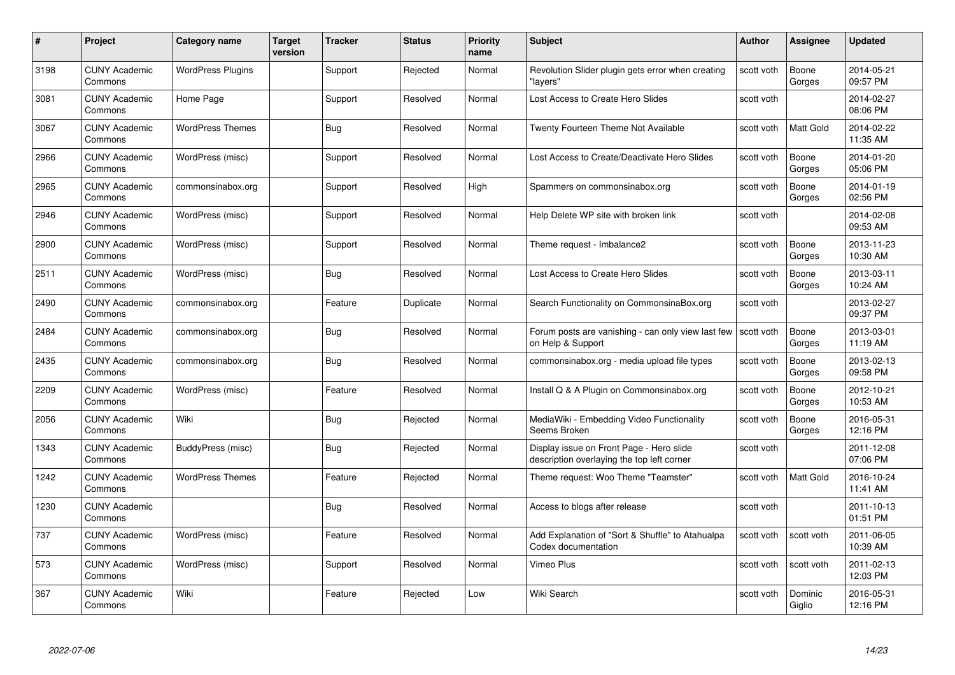| #    | Project                         | Category name            | <b>Target</b><br>version | <b>Tracker</b> | <b>Status</b> | <b>Priority</b><br>name | <b>Subject</b>                                                                         | <b>Author</b> | <b>Assignee</b>   | <b>Updated</b>         |
|------|---------------------------------|--------------------------|--------------------------|----------------|---------------|-------------------------|----------------------------------------------------------------------------------------|---------------|-------------------|------------------------|
| 3198 | <b>CUNY Academic</b><br>Commons | <b>WordPress Plugins</b> |                          | Support        | Rejected      | Normal                  | Revolution Slider plugin gets error when creating<br>"layers"                          | scott voth    | Boone<br>Gorges   | 2014-05-21<br>09:57 PM |
| 3081 | <b>CUNY Academic</b><br>Commons | Home Page                |                          | Support        | Resolved      | Normal                  | Lost Access to Create Hero Slides                                                      | scott voth    |                   | 2014-02-27<br>08:06 PM |
| 3067 | <b>CUNY Academic</b><br>Commons | <b>WordPress Themes</b>  |                          | Bug            | Resolved      | Normal                  | Twenty Fourteen Theme Not Available                                                    | scott voth    | Matt Gold         | 2014-02-22<br>11:35 AM |
| 2966 | <b>CUNY Academic</b><br>Commons | WordPress (misc)         |                          | Support        | Resolved      | Normal                  | Lost Access to Create/Deactivate Hero Slides                                           | scott voth    | Boone<br>Gorges   | 2014-01-20<br>05:06 PM |
| 2965 | <b>CUNY Academic</b><br>Commons | commonsinabox.org        |                          | Support        | Resolved      | High                    | Spammers on commonsinabox.org                                                          | scott voth    | Boone<br>Gorges   | 2014-01-19<br>02:56 PM |
| 2946 | <b>CUNY Academic</b><br>Commons | WordPress (misc)         |                          | Support        | Resolved      | Normal                  | Help Delete WP site with broken link                                                   | scott voth    |                   | 2014-02-08<br>09:53 AM |
| 2900 | <b>CUNY Academic</b><br>Commons | WordPress (misc)         |                          | Support        | Resolved      | Normal                  | Theme request - Imbalance2                                                             | scott voth    | Boone<br>Gorges   | 2013-11-23<br>10:30 AM |
| 2511 | <b>CUNY Academic</b><br>Commons | WordPress (misc)         |                          | Bug            | Resolved      | Normal                  | Lost Access to Create Hero Slides                                                      | scott voth    | Boone<br>Gorges   | 2013-03-11<br>10:24 AM |
| 2490 | <b>CUNY Academic</b><br>Commons | commonsinabox.org        |                          | Feature        | Duplicate     | Normal                  | Search Functionality on CommonsinaBox.org                                              | scott voth    |                   | 2013-02-27<br>09:37 PM |
| 2484 | <b>CUNY Academic</b><br>Commons | commonsinabox.org        |                          | Bug            | Resolved      | Normal                  | Forum posts are vanishing - can only view last few<br>on Help & Support                | scott voth    | Boone<br>Gorges   | 2013-03-01<br>11:19 AM |
| 2435 | CUNY Academic<br>Commons        | commonsinabox.org        |                          | Bug            | Resolved      | Normal                  | commonsinabox.org - media upload file types                                            | scott voth    | Boone<br>Gorges   | 2013-02-13<br>09:58 PM |
| 2209 | <b>CUNY Academic</b><br>Commons | WordPress (misc)         |                          | Feature        | Resolved      | Normal                  | Install Q & A Plugin on Commonsinabox.org                                              | scott voth    | Boone<br>Gorges   | 2012-10-21<br>10:53 AM |
| 2056 | <b>CUNY Academic</b><br>Commons | Wiki                     |                          | Bug            | Rejected      | Normal                  | MediaWiki - Embedding Video Functionality<br>Seems Broken                              | scott voth    | Boone<br>Gorges   | 2016-05-31<br>12:16 PM |
| 1343 | <b>CUNY Academic</b><br>Commons | BuddyPress (misc)        |                          | Bug            | Rejected      | Normal                  | Display issue on Front Page - Hero slide<br>description overlaying the top left corner | scott voth    |                   | 2011-12-08<br>07:06 PM |
| 1242 | <b>CUNY Academic</b><br>Commons | <b>WordPress Themes</b>  |                          | Feature        | Rejected      | Normal                  | Theme request: Woo Theme "Teamster"                                                    | scott voth    | <b>Matt Gold</b>  | 2016-10-24<br>11:41 AM |
| 1230 | CUNY Academic<br>Commons        |                          |                          | Bug            | Resolved      | Normal                  | Access to blogs after release                                                          | scott voth    |                   | 2011-10-13<br>01:51 PM |
| 737  | <b>CUNY Academic</b><br>Commons | WordPress (misc)         |                          | Feature        | Resolved      | Normal                  | Add Explanation of "Sort & Shuffle" to Atahualpa<br>Codex documentation                | scott voth    | scott voth        | 2011-06-05<br>10:39 AM |
| 573  | <b>CUNY Academic</b><br>Commons | WordPress (misc)         |                          | Support        | Resolved      | Normal                  | Vimeo Plus                                                                             | scott voth    | scott voth        | 2011-02-13<br>12:03 PM |
| 367  | <b>CUNY Academic</b><br>Commons | Wiki                     |                          | Feature        | Rejected      | Low                     | Wiki Search                                                                            | scott voth    | Dominic<br>Giglio | 2016-05-31<br>12:16 PM |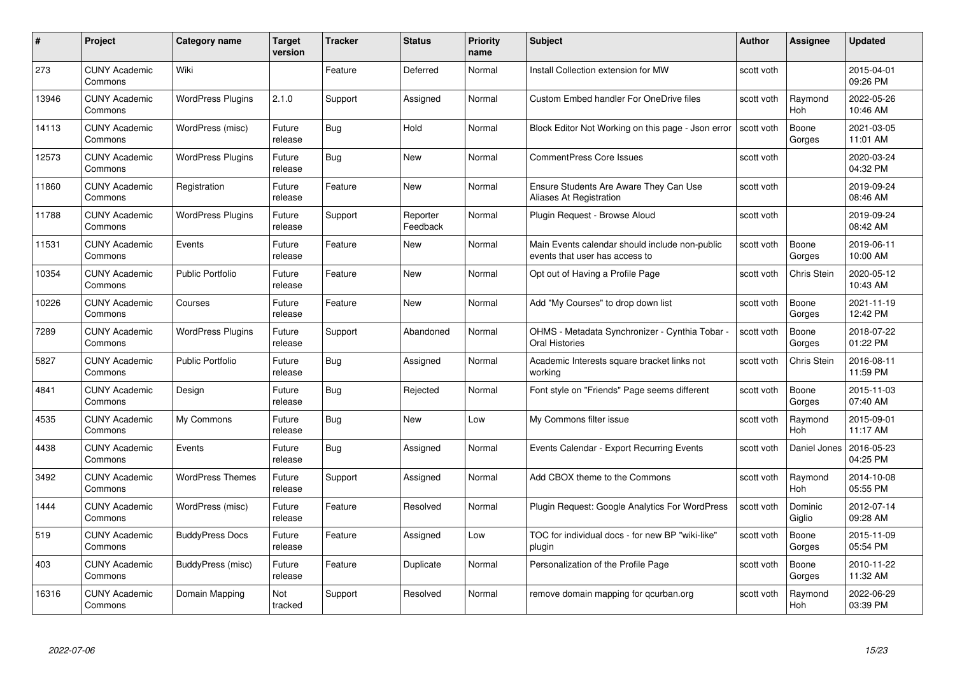| #     | <b>Project</b>                  | Category name            | <b>Target</b><br>version | <b>Tracker</b> | <b>Status</b>        | <b>Priority</b><br>name | <b>Subject</b>                                                                   | <b>Author</b> | <b>Assignee</b>       | <b>Updated</b>         |
|-------|---------------------------------|--------------------------|--------------------------|----------------|----------------------|-------------------------|----------------------------------------------------------------------------------|---------------|-----------------------|------------------------|
| 273   | <b>CUNY Academic</b><br>Commons | Wiki                     |                          | Feature        | Deferred             | Normal                  | Install Collection extension for MW                                              | scott voth    |                       | 2015-04-01<br>09:26 PM |
| 13946 | <b>CUNY Academic</b><br>Commons | <b>WordPress Plugins</b> | 2.1.0                    | Support        | Assigned             | Normal                  | Custom Embed handler For OneDrive files                                          | scott voth    | Raymond<br>Hoh        | 2022-05-26<br>10:46 AM |
| 14113 | <b>CUNY Academic</b><br>Commons | WordPress (misc)         | Future<br>release        | Bug            | Hold                 | Normal                  | Block Editor Not Working on this page - Json error                               | scott voth    | Boone<br>Gorges       | 2021-03-05<br>11:01 AM |
| 12573 | <b>CUNY Academic</b><br>Commons | <b>WordPress Plugins</b> | Future<br>release        | Bug            | New                  | Normal                  | <b>CommentPress Core Issues</b>                                                  | scott voth    |                       | 2020-03-24<br>04:32 PM |
| 11860 | <b>CUNY Academic</b><br>Commons | Registration             | Future<br>release        | Feature        | New                  | Normal                  | Ensure Students Are Aware They Can Use<br>Aliases At Registration                | scott voth    |                       | 2019-09-24<br>08:46 AM |
| 11788 | <b>CUNY Academic</b><br>Commons | <b>WordPress Plugins</b> | Future<br>release        | Support        | Reporter<br>Feedback | Normal                  | Plugin Request - Browse Aloud                                                    | scott voth    |                       | 2019-09-24<br>08:42 AM |
| 11531 | <b>CUNY Academic</b><br>Commons | Events                   | Future<br>release        | Feature        | New                  | Normal                  | Main Events calendar should include non-public<br>events that user has access to | scott voth    | Boone<br>Gorges       | 2019-06-11<br>10:00 AM |
| 10354 | <b>CUNY Academic</b><br>Commons | <b>Public Portfolio</b>  | Future<br>release        | Feature        | New                  | Normal                  | Opt out of Having a Profile Page                                                 | scott voth    | <b>Chris Stein</b>    | 2020-05-12<br>10:43 AM |
| 10226 | <b>CUNY Academic</b><br>Commons | Courses                  | Future<br>release        | Feature        | New                  | Normal                  | Add "My Courses" to drop down list                                               | scott voth    | Boone<br>Gorges       | 2021-11-19<br>12:42 PM |
| 7289  | <b>CUNY Academic</b><br>Commons | <b>WordPress Plugins</b> | Future<br>release        | Support        | Abandoned            | Normal                  | OHMS - Metadata Synchronizer - Cynthia Tobar<br>Oral Histories                   | scott voth    | Boone<br>Gorges       | 2018-07-22<br>01:22 PM |
| 5827  | <b>CUNY Academic</b><br>Commons | Public Portfolio         | Future<br>release        | Bug            | Assigned             | Normal                  | Academic Interests square bracket links not<br>working                           | scott voth    | <b>Chris Stein</b>    | 2016-08-11<br>11:59 PM |
| 4841  | <b>CUNY Academic</b><br>Commons | Design                   | Future<br>release        | <b>Bug</b>     | Rejected             | Normal                  | Font style on "Friends" Page seems different                                     | scott voth    | Boone<br>Gorges       | 2015-11-03<br>07:40 AM |
| 4535  | <b>CUNY Academic</b><br>Commons | My Commons               | Future<br>release        | Bug            | New                  | Low                     | My Commons filter issue                                                          | scott voth    | Raymond<br><b>Hoh</b> | 2015-09-01<br>11:17 AM |
| 4438  | <b>CUNY Academic</b><br>Commons | Events                   | Future<br>release        | <b>Bug</b>     | Assigned             | Normal                  | Events Calendar - Export Recurring Events                                        | scott voth    | Daniel Jones          | 2016-05-23<br>04:25 PM |
| 3492  | <b>CUNY Academic</b><br>Commons | <b>WordPress Themes</b>  | Future<br>release        | Support        | Assigned             | Normal                  | Add CBOX theme to the Commons                                                    | scott voth    | Raymond<br>Hoh        | 2014-10-08<br>05:55 PM |
| 1444  | <b>CUNY Academic</b><br>Commons | WordPress (misc)         | Future<br>release        | Feature        | Resolved             | Normal                  | Plugin Request: Google Analytics For WordPress                                   | scott voth    | Dominic<br>Giglio     | 2012-07-14<br>09:28 AM |
| 519   | <b>CUNY Academic</b><br>Commons | <b>BuddyPress Docs</b>   | Future<br>release        | Feature        | Assigned             | Low                     | TOC for individual docs - for new BP "wiki-like"<br>plugin                       | scott voth    | Boone<br>Gorges       | 2015-11-09<br>05:54 PM |
| 403   | <b>CUNY Academic</b><br>Commons | BuddyPress (misc)        | Future<br>release        | Feature        | Duplicate            | Normal                  | Personalization of the Profile Page                                              | scott voth    | Boone<br>Gorges       | 2010-11-22<br>11:32 AM |
| 16316 | <b>CUNY Academic</b><br>Commons | Domain Mapping           | Not<br>tracked           | Support        | Resolved             | Normal                  | remove domain mapping for qcurban.org                                            | scott voth    | Raymond<br>Hoh        | 2022-06-29<br>03:39 PM |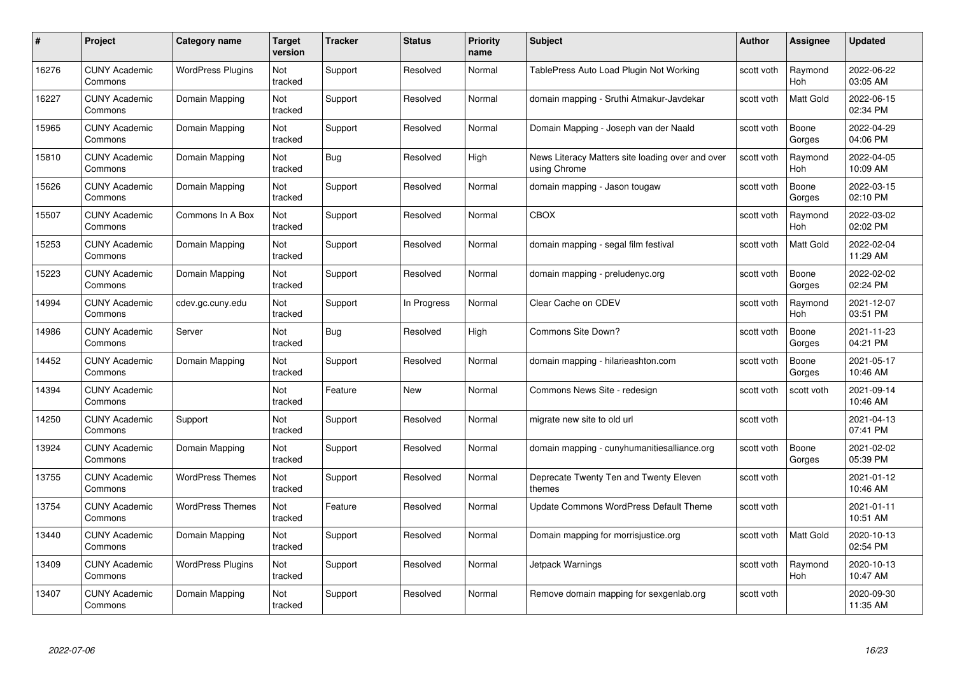| #     | Project                         | <b>Category name</b>     | Target<br>version | <b>Tracker</b> | <b>Status</b> | <b>Priority</b><br>name | <b>Subject</b>                                                   | <b>Author</b> | <b>Assignee</b>  | <b>Updated</b>         |
|-------|---------------------------------|--------------------------|-------------------|----------------|---------------|-------------------------|------------------------------------------------------------------|---------------|------------------|------------------------|
| 16276 | <b>CUNY Academic</b><br>Commons | <b>WordPress Plugins</b> | Not<br>tracked    | Support        | Resolved      | Normal                  | TablePress Auto Load Plugin Not Working                          | scott voth    | Raymond<br>Hoh   | 2022-06-22<br>03:05 AM |
| 16227 | <b>CUNY Academic</b><br>Commons | Domain Mapping           | Not<br>tracked    | Support        | Resolved      | Normal                  | domain mapping - Sruthi Atmakur-Javdekar                         | scott voth    | <b>Matt Gold</b> | 2022-06-15<br>02:34 PM |
| 15965 | <b>CUNY Academic</b><br>Commons | Domain Mapping           | Not<br>tracked    | Support        | Resolved      | Normal                  | Domain Mapping - Joseph van der Naald                            | scott voth    | Boone<br>Gorges  | 2022-04-29<br>04:06 PM |
| 15810 | <b>CUNY Academic</b><br>Commons | Domain Mapping           | Not<br>tracked    | <b>Bug</b>     | Resolved      | High                    | News Literacy Matters site loading over and over<br>using Chrome | scott voth    | Raymond<br>Hoh   | 2022-04-05<br>10:09 AM |
| 15626 | CUNY Academic<br>Commons        | Domain Mapping           | Not<br>tracked    | Support        | Resolved      | Normal                  | domain mapping - Jason tougaw                                    | scott voth    | Boone<br>Gorges  | 2022-03-15<br>02:10 PM |
| 15507 | <b>CUNY Academic</b><br>Commons | Commons In A Box         | Not<br>tracked    | Support        | Resolved      | Normal                  | <b>CBOX</b>                                                      | scott voth    | Raymond<br>Hoh   | 2022-03-02<br>02:02 PM |
| 15253 | <b>CUNY Academic</b><br>Commons | Domain Mapping           | Not<br>tracked    | Support        | Resolved      | Normal                  | domain mapping - segal film festival                             | scott voth    | Matt Gold        | 2022-02-04<br>11:29 AM |
| 15223 | <b>CUNY Academic</b><br>Commons | Domain Mapping           | Not<br>tracked    | Support        | Resolved      | Normal                  | domain mapping - preludenyc.org                                  | scott voth    | Boone<br>Gorges  | 2022-02-02<br>02:24 PM |
| 14994 | <b>CUNY Academic</b><br>Commons | cdev.gc.cuny.edu         | Not<br>tracked    | Support        | In Progress   | Normal                  | Clear Cache on CDEV                                              | scott voth    | Raymond<br>Hoh   | 2021-12-07<br>03:51 PM |
| 14986 | <b>CUNY Academic</b><br>Commons | Server                   | Not<br>tracked    | <b>Bug</b>     | Resolved      | High                    | Commons Site Down?                                               | scott voth    | Boone<br>Gorges  | 2021-11-23<br>04:21 PM |
| 14452 | CUNY Academic<br>Commons        | Domain Mapping           | Not<br>tracked    | Support        | Resolved      | Normal                  | domain mapping - hilarieashton.com                               | scott voth    | Boone<br>Gorges  | 2021-05-17<br>10:46 AM |
| 14394 | <b>CUNY Academic</b><br>Commons |                          | Not<br>tracked    | Feature        | New           | Normal                  | Commons News Site - redesign                                     | scott voth    | scott voth       | 2021-09-14<br>10:46 AM |
| 14250 | <b>CUNY Academic</b><br>Commons | Support                  | Not<br>tracked    | Support        | Resolved      | Normal                  | migrate new site to old url                                      | scott voth    |                  | 2021-04-13<br>07:41 PM |
| 13924 | <b>CUNY Academic</b><br>Commons | Domain Mapping           | Not<br>tracked    | Support        | Resolved      | Normal                  | domain mapping - cunyhumanitiesalliance.org                      | scott voth    | Boone<br>Gorges  | 2021-02-02<br>05:39 PM |
| 13755 | <b>CUNY Academic</b><br>Commons | <b>WordPress Themes</b>  | Not<br>tracked    | Support        | Resolved      | Normal                  | Deprecate Twenty Ten and Twenty Eleven<br>themes                 | scott voth    |                  | 2021-01-12<br>10:46 AM |
| 13754 | <b>CUNY Academic</b><br>Commons | <b>WordPress Themes</b>  | Not<br>tracked    | Feature        | Resolved      | Normal                  | Update Commons WordPress Default Theme                           | scott voth    |                  | 2021-01-11<br>10:51 AM |
| 13440 | <b>CUNY Academic</b><br>Commons | Domain Mapping           | Not<br>tracked    | Support        | Resolved      | Normal                  | Domain mapping for morrisjustice.org                             | scott voth    | Matt Gold        | 2020-10-13<br>02:54 PM |
| 13409 | <b>CUNY Academic</b><br>Commons | <b>WordPress Plugins</b> | Not<br>tracked    | Support        | Resolved      | Normal                  | Jetpack Warnings                                                 | scott voth    | Raymond<br>Hoh   | 2020-10-13<br>10:47 AM |
| 13407 | CUNY Academic<br>Commons        | Domain Mapping           | Not<br>tracked    | Support        | Resolved      | Normal                  | Remove domain mapping for sexgenlab.org                          | scott voth    |                  | 2020-09-30<br>11:35 AM |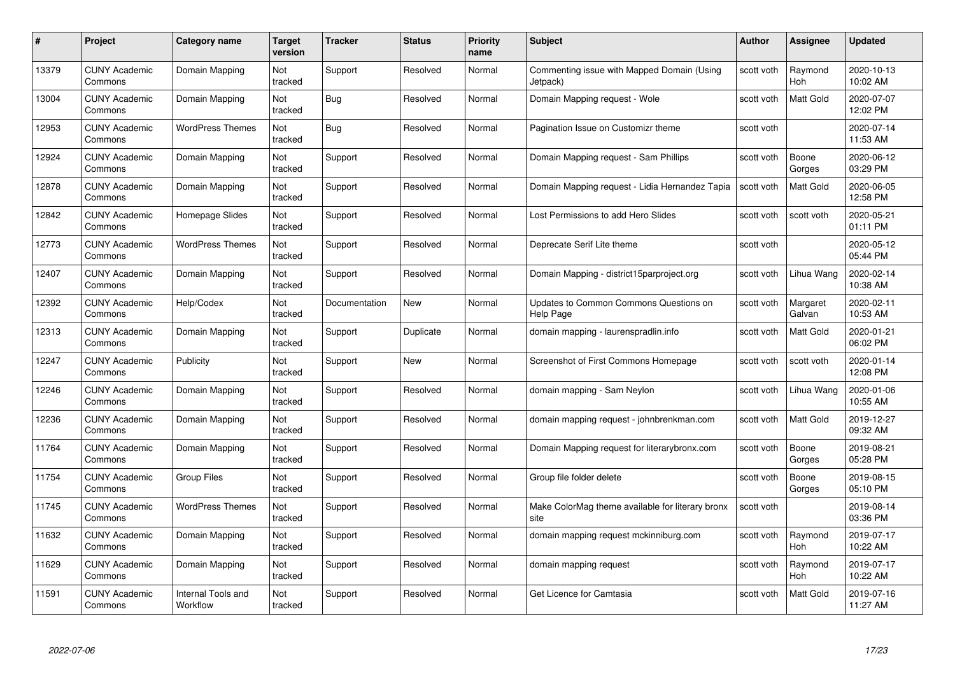| #     | Project                         | <b>Category name</b>           | Target<br>version | <b>Tracker</b> | <b>Status</b> | <b>Priority</b><br>name | <b>Subject</b>                                           | <b>Author</b> | <b>Assignee</b>       | <b>Updated</b>         |
|-------|---------------------------------|--------------------------------|-------------------|----------------|---------------|-------------------------|----------------------------------------------------------|---------------|-----------------------|------------------------|
| 13379 | <b>CUNY Academic</b><br>Commons | Domain Mapping                 | Not<br>tracked    | Support        | Resolved      | Normal                  | Commenting issue with Mapped Domain (Using<br>Jetpack)   | scott voth    | Raymond<br><b>Hoh</b> | 2020-10-13<br>10:02 AM |
| 13004 | <b>CUNY Academic</b><br>Commons | Domain Mapping                 | Not<br>tracked    | Bug            | Resolved      | Normal                  | Domain Mapping request - Wole                            | scott voth    | <b>Matt Gold</b>      | 2020-07-07<br>12:02 PM |
| 12953 | <b>CUNY Academic</b><br>Commons | <b>WordPress Themes</b>        | Not<br>tracked    | <b>Bug</b>     | Resolved      | Normal                  | Pagination Issue on Customizr theme                      | scott voth    |                       | 2020-07-14<br>11:53 AM |
| 12924 | <b>CUNY Academic</b><br>Commons | Domain Mapping                 | Not<br>tracked    | Support        | Resolved      | Normal                  | Domain Mapping request - Sam Phillips                    | scott voth    | Boone<br>Gorges       | 2020-06-12<br>03:29 PM |
| 12878 | <b>CUNY Academic</b><br>Commons | Domain Mapping                 | Not<br>tracked    | Support        | Resolved      | Normal                  | Domain Mapping request - Lidia Hernandez Tapia           | scott voth    | <b>Matt Gold</b>      | 2020-06-05<br>12:58 PM |
| 12842 | <b>CUNY Academic</b><br>Commons | Homepage Slides                | Not<br>tracked    | Support        | Resolved      | Normal                  | Lost Permissions to add Hero Slides                      | scott voth    | scott voth            | 2020-05-21<br>01:11 PM |
| 12773 | <b>CUNY Academic</b><br>Commons | <b>WordPress Themes</b>        | Not<br>tracked    | Support        | Resolved      | Normal                  | Deprecate Serif Lite theme                               | scott voth    |                       | 2020-05-12<br>05:44 PM |
| 12407 | <b>CUNY Academic</b><br>Commons | Domain Mapping                 | Not<br>tracked    | Support        | Resolved      | Normal                  | Domain Mapping - district15parproject.org                | scott voth    | Lihua Wang            | 2020-02-14<br>10:38 AM |
| 12392 | <b>CUNY Academic</b><br>Commons | Help/Codex                     | Not<br>tracked    | Documentation  | New           | Normal                  | Updates to Common Commons Questions on<br>Help Page      | scott voth    | Margaret<br>Galvan    | 2020-02-11<br>10:53 AM |
| 12313 | <b>CUNY Academic</b><br>Commons | Domain Mapping                 | Not<br>tracked    | Support        | Duplicate     | Normal                  | domain mapping - laurenspradlin.info                     | scott voth    | <b>Matt Gold</b>      | 2020-01-21<br>06:02 PM |
| 12247 | CUNY Academic<br>Commons        | Publicity                      | Not<br>tracked    | Support        | New           | Normal                  | Screenshot of First Commons Homepage                     | scott voth    | scott voth            | 2020-01-14<br>12:08 PM |
| 2246  | <b>CUNY Academic</b><br>Commons | Domain Mapping                 | Not<br>tracked    | Support        | Resolved      | Normal                  | domain mapping - Sam Neylon                              | scott voth    | Lihua Wang            | 2020-01-06<br>10:55 AM |
| 12236 | <b>CUNY Academic</b><br>Commons | Domain Mapping                 | Not<br>tracked    | Support        | Resolved      | Normal                  | domain mapping request - johnbrenkman.com                | scott voth    | <b>Matt Gold</b>      | 2019-12-27<br>09:32 AM |
| 11764 | <b>CUNY Academic</b><br>Commons | Domain Mapping                 | Not<br>tracked    | Support        | Resolved      | Normal                  | Domain Mapping request for literarybronx.com             | scott voth    | Boone<br>Gorges       | 2019-08-21<br>05:28 PM |
| 11754 | <b>CUNY Academic</b><br>Commons | <b>Group Files</b>             | Not<br>tracked    | Support        | Resolved      | Normal                  | Group file folder delete                                 | scott voth    | Boone<br>Gorges       | 2019-08-15<br>05:10 PM |
| 11745 | <b>CUNY Academic</b><br>Commons | <b>WordPress Themes</b>        | Not<br>tracked    | Support        | Resolved      | Normal                  | Make ColorMag theme available for literary bronx<br>site | scott voth    |                       | 2019-08-14<br>03:36 PM |
| 11632 | <b>CUNY Academic</b><br>Commons | Domain Mapping                 | Not<br>tracked    | Support        | Resolved      | Normal                  | domain mapping request mckinniburg.com                   | scott voth    | Raymond<br><b>Hoh</b> | 2019-07-17<br>10:22 AM |
| 11629 | <b>CUNY Academic</b><br>Commons | Domain Mapping                 | Not<br>tracked    | Support        | Resolved      | Normal                  | domain mapping request                                   | scott voth    | Raymond<br>Hoh        | 2019-07-17<br>10:22 AM |
| 11591 | CUNY Academic<br>Commons        | Internal Tools and<br>Workflow | Not<br>tracked    | Support        | Resolved      | Normal                  | Get Licence for Camtasia                                 | scott voth    | <b>Matt Gold</b>      | 2019-07-16<br>11:27 AM |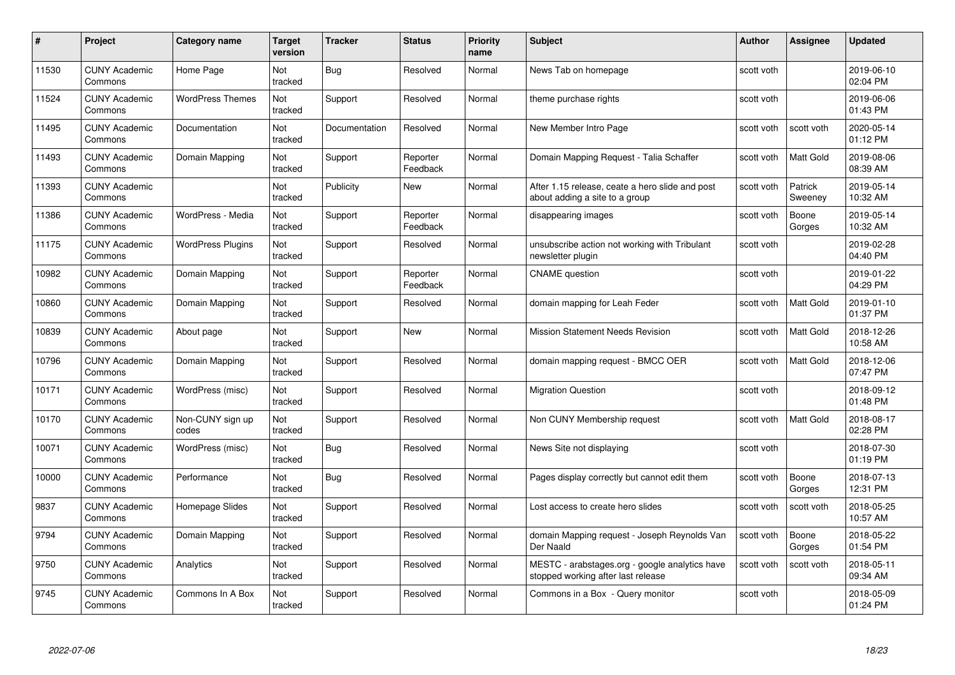| #     | Project                         | <b>Category name</b>      | Target<br>version     | <b>Tracker</b> | <b>Status</b>        | <b>Priority</b><br>name | <b>Subject</b>                                                                       | <b>Author</b> | <b>Assignee</b>    | <b>Updated</b>         |
|-------|---------------------------------|---------------------------|-----------------------|----------------|----------------------|-------------------------|--------------------------------------------------------------------------------------|---------------|--------------------|------------------------|
| 11530 | <b>CUNY Academic</b><br>Commons | Home Page                 | <b>Not</b><br>tracked | Bug            | Resolved             | Normal                  | News Tab on homepage                                                                 | scott voth    |                    | 2019-06-10<br>02:04 PM |
| 11524 | <b>CUNY Academic</b><br>Commons | <b>WordPress Themes</b>   | Not<br>tracked        | Support        | Resolved             | Normal                  | theme purchase rights                                                                | scott voth    |                    | 2019-06-06<br>01:43 PM |
| 11495 | <b>CUNY Academic</b><br>Commons | Documentation             | <b>Not</b><br>tracked | Documentation  | Resolved             | Normal                  | New Member Intro Page                                                                | scott voth    | scott voth         | 2020-05-14<br>01:12 PM |
| 11493 | <b>CUNY Academic</b><br>Commons | Domain Mapping            | Not<br>tracked        | Support        | Reporter<br>Feedback | Normal                  | Domain Mapping Request - Talia Schaffer                                              | scott voth    | Matt Gold          | 2019-08-06<br>08:39 AM |
| 11393 | <b>CUNY Academic</b><br>Commons |                           | Not<br>tracked        | Publicity      | New                  | Normal                  | After 1.15 release, ceate a hero slide and post<br>about adding a site to a group    | scott voth    | Patrick<br>Sweeney | 2019-05-14<br>10:32 AM |
| 11386 | <b>CUNY Academic</b><br>Commons | WordPress - Media         | Not<br>tracked        | Support        | Reporter<br>Feedback | Normal                  | disappearing images                                                                  | scott voth    | Boone<br>Gorges    | 2019-05-14<br>10:32 AM |
| 11175 | <b>CUNY Academic</b><br>Commons | <b>WordPress Plugins</b>  | Not<br>tracked        | Support        | Resolved             | Normal                  | unsubscribe action not working with Tribulant<br>newsletter plugin                   | scott voth    |                    | 2019-02-28<br>04:40 PM |
| 10982 | <b>CUNY Academic</b><br>Commons | Domain Mapping            | Not<br>tracked        | Support        | Reporter<br>Feedback | Normal                  | <b>CNAME</b> question                                                                | scott voth    |                    | 2019-01-22<br>04:29 PM |
| 10860 | <b>CUNY Academic</b><br>Commons | Domain Mapping            | Not<br>tracked        | Support        | Resolved             | Normal                  | domain mapping for Leah Feder                                                        | scott voth    | Matt Gold          | 2019-01-10<br>01:37 PM |
| 10839 | <b>CUNY Academic</b><br>Commons | About page                | Not<br>tracked        | Support        | New                  | Normal                  | <b>Mission Statement Needs Revision</b>                                              | scott voth    | Matt Gold          | 2018-12-26<br>10:58 AM |
| 10796 | CUNY Academic<br>Commons        | Domain Mapping            | Not<br>tracked        | Support        | Resolved             | Normal                  | domain mapping request - BMCC OER                                                    | scott voth    | Matt Gold          | 2018-12-06<br>07:47 PM |
| 10171 | <b>CUNY Academic</b><br>Commons | WordPress (misc)          | Not<br>tracked        | Support        | Resolved             | Normal                  | <b>Migration Question</b>                                                            | scott voth    |                    | 2018-09-12<br>01:48 PM |
| 10170 | <b>CUNY Academic</b><br>Commons | Non-CUNY sign up<br>codes | Not<br>tracked        | Support        | Resolved             | Normal                  | Non CUNY Membership request                                                          | scott voth    | Matt Gold          | 2018-08-17<br>02:28 PM |
| 10071 | <b>CUNY Academic</b><br>Commons | WordPress (misc)          | Not<br>tracked        | <b>Bug</b>     | Resolved             | Normal                  | News Site not displaying                                                             | scott voth    |                    | 2018-07-30<br>01:19 PM |
| 10000 | <b>CUNY Academic</b><br>Commons | Performance               | Not<br>tracked        | Bug            | Resolved             | Normal                  | Pages display correctly but cannot edit them                                         | scott voth    | Boone<br>Gorges    | 2018-07-13<br>12:31 PM |
| 9837  | <b>CUNY Academic</b><br>Commons | Homepage Slides           | Not<br>tracked        | Support        | Resolved             | Normal                  | Lost access to create hero slides                                                    | scott voth    | scott voth         | 2018-05-25<br>10:57 AM |
| 9794  | <b>CUNY Academic</b><br>Commons | Domain Mapping            | Not<br>tracked        | Support        | Resolved             | Normal                  | domain Mapping request - Joseph Reynolds Van<br>Der Naald                            | scott voth    | Boone<br>Gorges    | 2018-05-22<br>01:54 PM |
| 9750  | <b>CUNY Academic</b><br>Commons | Analytics                 | Not<br>tracked        | Support        | Resolved             | Normal                  | MESTC - arabstages.org - google analytics have<br>stopped working after last release | scott voth    | scott voth         | 2018-05-11<br>09:34 AM |
| 9745  | CUNY Academic<br>Commons        | Commons In A Box          | Not<br>tracked        | Support        | Resolved             | Normal                  | Commons in a Box - Query monitor                                                     | scott voth    |                    | 2018-05-09<br>01:24 PM |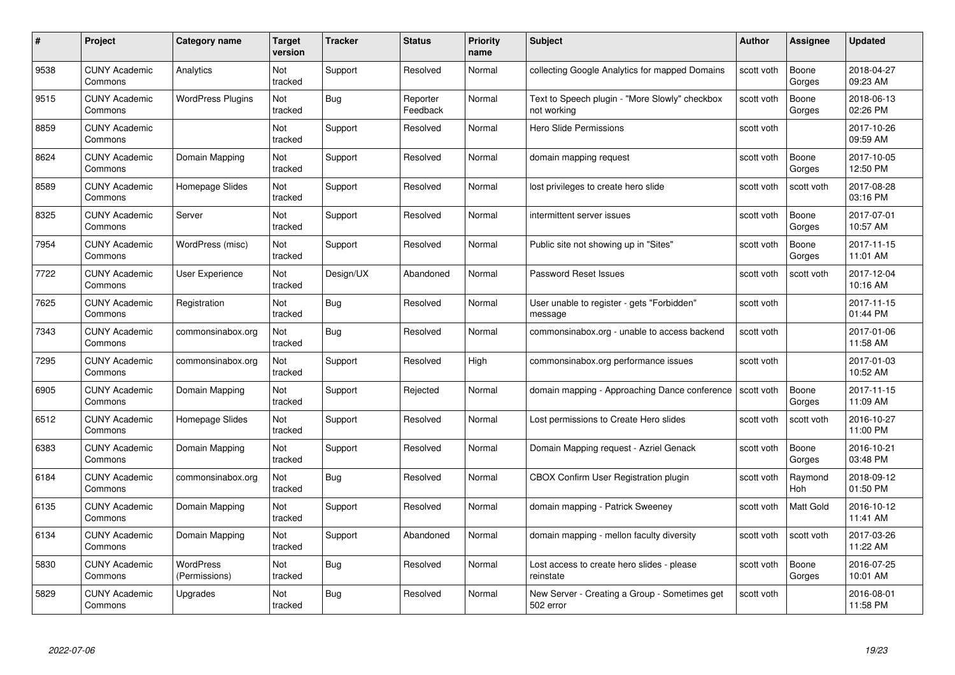| #    | Project                         | <b>Category name</b>              | Target<br>version | <b>Tracker</b> | <b>Status</b>        | <b>Priority</b><br>name | <b>Subject</b>                                                | <b>Author</b> | <b>Assignee</b> | <b>Updated</b>         |
|------|---------------------------------|-----------------------------------|-------------------|----------------|----------------------|-------------------------|---------------------------------------------------------------|---------------|-----------------|------------------------|
| 9538 | <b>CUNY Academic</b><br>Commons | Analytics                         | Not<br>tracked    | Support        | Resolved             | Normal                  | collecting Google Analytics for mapped Domains                | scott voth    | Boone<br>Gorges | 2018-04-27<br>09:23 AM |
| 9515 | <b>CUNY Academic</b><br>Commons | <b>WordPress Plugins</b>          | Not<br>tracked    | <b>Bug</b>     | Reporter<br>Feedback | Normal                  | Text to Speech plugin - "More Slowly" checkbox<br>not working | scott voth    | Boone<br>Gorges | 2018-06-13<br>02:26 PM |
| 8859 | <b>CUNY Academic</b><br>Commons |                                   | Not<br>tracked    | Support        | Resolved             | Normal                  | Hero Slide Permissions                                        | scott voth    |                 | 2017-10-26<br>09:59 AM |
| 8624 | <b>CUNY Academic</b><br>Commons | Domain Mapping                    | Not<br>tracked    | Support        | Resolved             | Normal                  | domain mapping request                                        | scott voth    | Boone<br>Gorges | 2017-10-05<br>12:50 PM |
| 8589 | CUNY Academic<br>Commons        | Homepage Slides                   | Not<br>tracked    | Support        | Resolved             | Normal                  | lost privileges to create hero slide                          | scott voth    | scott voth      | 2017-08-28<br>03:16 PM |
| 8325 | <b>CUNY Academic</b><br>Commons | Server                            | Not<br>tracked    | Support        | Resolved             | Normal                  | intermittent server issues                                    | scott voth    | Boone<br>Gorges | 2017-07-01<br>10:57 AM |
| 7954 | <b>CUNY Academic</b><br>Commons | WordPress (misc)                  | Not<br>tracked    | Support        | Resolved             | Normal                  | Public site not showing up in "Sites"                         | scott voth    | Boone<br>Gorges | 2017-11-15<br>11:01 AM |
| 7722 | <b>CUNY Academic</b><br>Commons | User Experience                   | Not<br>tracked    | Design/UX      | Abandoned            | Normal                  | Password Reset Issues                                         | scott voth    | scott voth      | 2017-12-04<br>10:16 AM |
| 7625 | <b>CUNY Academic</b><br>Commons | Registration                      | Not<br>tracked    | <b>Bug</b>     | Resolved             | Normal                  | User unable to register - gets "Forbidden"<br>message         | scott voth    |                 | 2017-11-15<br>01:44 PM |
| 7343 | <b>CUNY Academic</b><br>Commons | commonsinabox.org                 | Not<br>tracked    | <b>Bug</b>     | Resolved             | Normal                  | commonsinabox.org - unable to access backend                  | scott voth    |                 | 2017-01-06<br>11:58 AM |
| 7295 | CUNY Academic<br>Commons        | commonsinabox.org                 | Not<br>tracked    | Support        | Resolved             | High                    | commonsinabox.org performance issues                          | scott voth    |                 | 2017-01-03<br>10:52 AM |
| 6905 | <b>CUNY Academic</b><br>Commons | Domain Mapping                    | Not<br>tracked    | Support        | Rejected             | Normal                  | domain mapping - Approaching Dance conference                 | scott voth    | Boone<br>Gorges | 2017-11-15<br>11:09 AM |
| 6512 | <b>CUNY Academic</b><br>Commons | Homepage Slides                   | Not<br>tracked    | Support        | Resolved             | Normal                  | Lost permissions to Create Hero slides                        | scott voth    | scott voth      | 2016-10-27<br>11:00 PM |
| 6383 | <b>CUNY Academic</b><br>Commons | Domain Mapping                    | Not<br>tracked    | Support        | Resolved             | Normal                  | Domain Mapping request - Azriel Genack                        | scott voth    | Boone<br>Gorges | 2016-10-21<br>03:48 PM |
| 6184 | <b>CUNY Academic</b><br>Commons | commonsinabox.org                 | Not<br>tracked    | Bug            | Resolved             | Normal                  | CBOX Confirm User Registration plugin                         | scott voth    | Raymond<br>Hoh  | 2018-09-12<br>01:50 PM |
| 6135 | <b>CUNY Academic</b><br>Commons | Domain Mapping                    | Not<br>tracked    | Support        | Resolved             | Normal                  | domain mapping - Patrick Sweeney                              | scott voth    | Matt Gold       | 2016-10-12<br>11:41 AM |
| 6134 | <b>CUNY Academic</b><br>Commons | Domain Mapping                    | Not<br>tracked    | Support        | Abandoned            | Normal                  | domain mapping - mellon faculty diversity                     | scott voth    | scott voth      | 2017-03-26<br>11:22 AM |
| 5830 | <b>CUNY Academic</b><br>Commons | <b>WordPress</b><br>(Permissions) | Not<br>tracked    | <b>Bug</b>     | Resolved             | Normal                  | Lost access to create hero slides - please<br>reinstate       | scott voth    | Boone<br>Gorges | 2016-07-25<br>10:01 AM |
| 5829 | CUNY Academic<br>Commons        | Upgrades                          | Not<br>tracked    | Bug            | Resolved             | Normal                  | New Server - Creating a Group - Sometimes get<br>502 error    | scott voth    |                 | 2016-08-01<br>11:58 PM |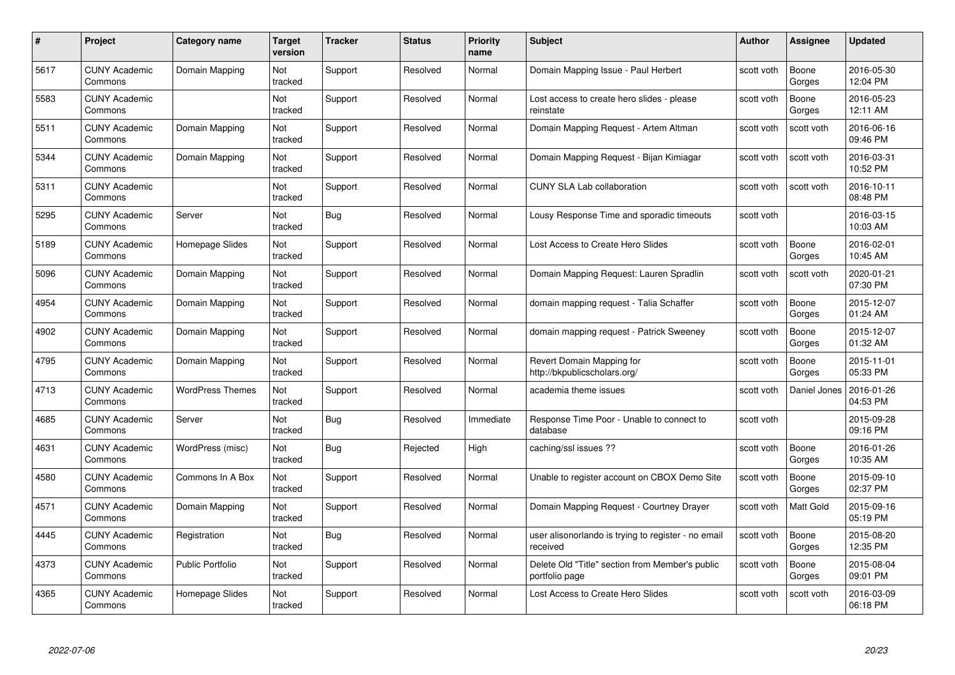| #    | Project                         | <b>Category name</b>    | Target<br>version     | <b>Tracker</b> | <b>Status</b> | <b>Priority</b><br>name | <b>Subject</b>                                                    | <b>Author</b> | <b>Assignee</b> | <b>Updated</b>         |
|------|---------------------------------|-------------------------|-----------------------|----------------|---------------|-------------------------|-------------------------------------------------------------------|---------------|-----------------|------------------------|
| 5617 | <b>CUNY Academic</b><br>Commons | Domain Mapping          | Not<br>tracked        | Support        | Resolved      | Normal                  | Domain Mapping Issue - Paul Herbert                               | scott voth    | Boone<br>Gorges | 2016-05-30<br>12:04 PM |
| 5583 | <b>CUNY Academic</b><br>Commons |                         | Not<br>tracked        | Support        | Resolved      | Normal                  | Lost access to create hero slides - please<br>reinstate           | scott voth    | Boone<br>Gorges | 2016-05-23<br>12:11 AM |
| 5511 | <b>CUNY Academic</b><br>Commons | Domain Mapping          | Not<br>tracked        | Support        | Resolved      | Normal                  | Domain Mapping Request - Artem Altman                             | scott voth    | scott voth      | 2016-06-16<br>09:46 PM |
| 5344 | <b>CUNY Academic</b><br>Commons | Domain Mapping          | Not<br>tracked        | Support        | Resolved      | Normal                  | Domain Mapping Request - Bijan Kimiagar                           | scott voth    | scott voth      | 2016-03-31<br>10:52 PM |
| 5311 | CUNY Academic<br>Commons        |                         | Not<br>tracked        | Support        | Resolved      | Normal                  | <b>CUNY SLA Lab collaboration</b>                                 | scott voth    | scott voth      | 2016-10-11<br>08:48 PM |
| 5295 | <b>CUNY Academic</b><br>Commons | Server                  | <b>Not</b><br>tracked | Bug            | Resolved      | Normal                  | Lousy Response Time and sporadic timeouts                         | scott voth    |                 | 2016-03-15<br>10:03 AM |
| 5189 | <b>CUNY Academic</b><br>Commons | Homepage Slides         | Not<br>tracked        | Support        | Resolved      | Normal                  | Lost Access to Create Hero Slides                                 | scott voth    | Boone<br>Gorges | 2016-02-01<br>10:45 AM |
| 5096 | <b>CUNY Academic</b><br>Commons | Domain Mapping          | Not<br>tracked        | Support        | Resolved      | Normal                  | Domain Mapping Request: Lauren Spradlin                           | scott voth    | scott voth      | 2020-01-21<br>07:30 PM |
| 4954 | <b>CUNY Academic</b><br>Commons | Domain Mapping          | Not<br>tracked        | Support        | Resolved      | Normal                  | domain mapping request - Talia Schaffer                           | scott voth    | Boone<br>Gorges | 2015-12-07<br>01:24 AM |
| 4902 | <b>CUNY Academic</b><br>Commons | Domain Mapping          | Not<br>tracked        | Support        | Resolved      | Normal                  | domain mapping request - Patrick Sweeney                          | scott voth    | Boone<br>Gorges | 2015-12-07<br>01:32 AM |
| 4795 | CUNY Academic<br>Commons        | Domain Mapping          | Not<br>tracked        | Support        | Resolved      | Normal                  | Revert Domain Mapping for<br>http://bkpublicscholars.org/         | scott voth    | Boone<br>Gorges | 2015-11-01<br>05:33 PM |
| 4713 | <b>CUNY Academic</b><br>Commons | <b>WordPress Themes</b> | Not<br>tracked        | Support        | Resolved      | Normal                  | academia theme issues                                             | scott voth    | Daniel Jones    | 2016-01-26<br>04:53 PM |
| 4685 | <b>CUNY Academic</b><br>Commons | Server                  | Not<br>tracked        | Bug            | Resolved      | Immediate               | Response Time Poor - Unable to connect to<br>database             | scott voth    |                 | 2015-09-28<br>09:16 PM |
| 4631 | <b>CUNY Academic</b><br>Commons | WordPress (misc)        | Not<br>tracked        | <b>Bug</b>     | Rejected      | High                    | caching/ssl issues ??                                             | scott voth    | Boone<br>Gorges | 2016-01-26<br>10:35 AM |
| 4580 | <b>CUNY Academic</b><br>Commons | Commons In A Box        | Not<br>tracked        | Support        | Resolved      | Normal                  | Unable to register account on CBOX Demo Site                      | scott voth    | Boone<br>Gorges | 2015-09-10<br>02:37 PM |
| 4571 | <b>CUNY Academic</b><br>Commons | Domain Mapping          | Not<br>tracked        | Support        | Resolved      | Normal                  | Domain Mapping Request - Courtney Drayer                          | scott voth    | Matt Gold       | 2015-09-16<br>05:19 PM |
| 4445 | <b>CUNY Academic</b><br>Commons | Registration            | Not<br>tracked        | Bug            | Resolved      | Normal                  | user alisonorlando is trying to register - no email<br>received   | scott voth    | Boone<br>Gorges | 2015-08-20<br>12:35 PM |
| 4373 | <b>CUNY Academic</b><br>Commons | <b>Public Portfolio</b> | Not<br>tracked        | Support        | Resolved      | Normal                  | Delete Old "Title" section from Member's public<br>portfolio page | scott voth    | Boone<br>Gorges | 2015-08-04<br>09:01 PM |
| 4365 | CUNY Academic<br>Commons        | Homepage Slides         | Not<br>tracked        | Support        | Resolved      | Normal                  | Lost Access to Create Hero Slides                                 | scott voth    | scott voth      | 2016-03-09<br>06:18 PM |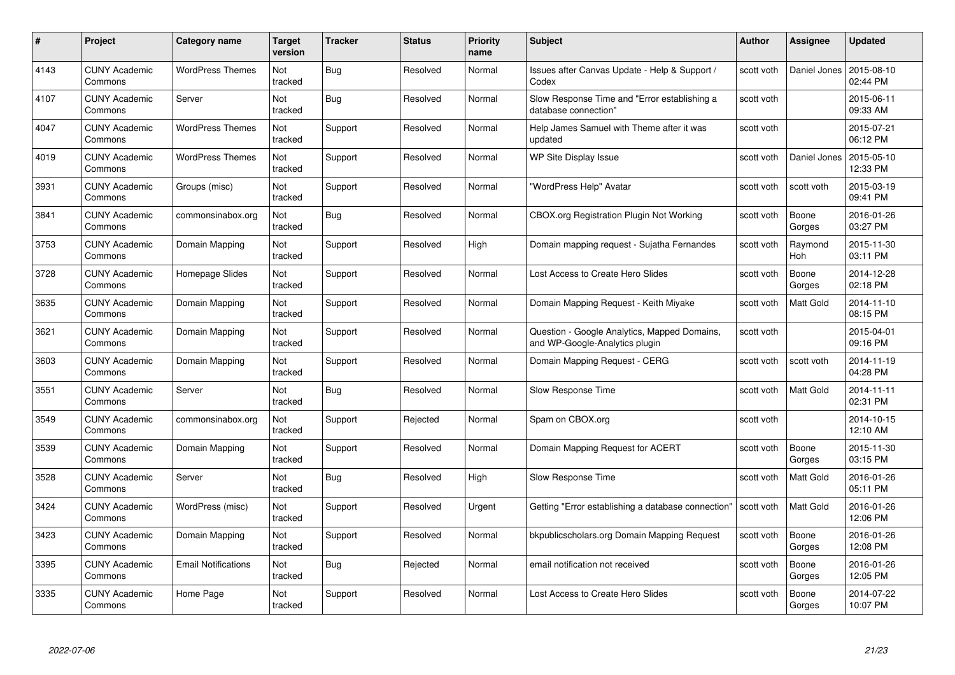| #    | Project                         | Category name              | Target<br>version | <b>Tracker</b> | <b>Status</b> | <b>Priority</b><br>name | <b>Subject</b>                                                                 | Author     | <b>Assignee</b>  | <b>Updated</b>         |
|------|---------------------------------|----------------------------|-------------------|----------------|---------------|-------------------------|--------------------------------------------------------------------------------|------------|------------------|------------------------|
| 4143 | <b>CUNY Academic</b><br>Commons | <b>WordPress Themes</b>    | Not<br>tracked    | Bug            | Resolved      | Normal                  | Issues after Canvas Update - Help & Support /<br>Codex                         | scott voth | Daniel Jones     | 2015-08-10<br>02:44 PM |
| 4107 | <b>CUNY Academic</b><br>Commons | Server                     | Not<br>tracked    | <b>Bug</b>     | Resolved      | Normal                  | Slow Response Time and "Error establishing a<br>database connection"           | scott voth |                  | 2015-06-11<br>09:33 AM |
| 4047 | <b>CUNY Academic</b><br>Commons | <b>WordPress Themes</b>    | Not<br>tracked    | Support        | Resolved      | Normal                  | Help James Samuel with Theme after it was<br>updated                           | scott voth |                  | 2015-07-21<br>06:12 PM |
| 4019 | <b>CUNY Academic</b><br>Commons | <b>WordPress Themes</b>    | Not<br>tracked    | Support        | Resolved      | Normal                  | <b>WP Site Display Issue</b>                                                   | scott voth | Daniel Jones     | 2015-05-10<br>12:33 PM |
| 3931 | <b>CUNY Academic</b><br>Commons | Groups (misc)              | Not<br>tracked    | Support        | Resolved      | Normal                  | "WordPress Help" Avatar                                                        | scott voth | scott voth       | 2015-03-19<br>09:41 PM |
| 3841 | <b>CUNY Academic</b><br>Commons | commonsinabox.org          | Not<br>tracked    | Bug            | Resolved      | Normal                  | CBOX.org Registration Plugin Not Working                                       | scott voth | Boone<br>Gorges  | 2016-01-26<br>03:27 PM |
| 3753 | <b>CUNY Academic</b><br>Commons | Domain Mapping             | Not<br>tracked    | Support        | Resolved      | High                    | Domain mapping request - Sujatha Fernandes                                     | scott voth | Raymond<br>Hoh   | 2015-11-30<br>03:11 PM |
| 3728 | <b>CUNY Academic</b><br>Commons | Homepage Slides            | Not<br>tracked    | Support        | Resolved      | Normal                  | Lost Access to Create Hero Slides                                              | scott voth | Boone<br>Gorges  | 2014-12-28<br>02:18 PM |
| 3635 | <b>CUNY Academic</b><br>Commons | Domain Mapping             | Not<br>tracked    | Support        | Resolved      | Normal                  | Domain Mapping Request - Keith Miyake                                          | scott voth | <b>Matt Gold</b> | 2014-11-10<br>08:15 PM |
| 3621 | <b>CUNY Academic</b><br>Commons | Domain Mapping             | Not<br>tracked    | Support        | Resolved      | Normal                  | Question - Google Analytics, Mapped Domains,<br>and WP-Google-Analytics plugin | scott voth |                  | 2015-04-01<br>09:16 PM |
| 3603 | CUNY Academic<br>Commons        | Domain Mapping             | Not<br>tracked    | Support        | Resolved      | Normal                  | Domain Mapping Request - CERG                                                  | scott voth | scott voth       | 2014-11-19<br>04:28 PM |
| 3551 | <b>CUNY Academic</b><br>Commons | Server                     | Not<br>tracked    | <b>Bug</b>     | Resolved      | Normal                  | Slow Response Time                                                             | scott voth | Matt Gold        | 2014-11-11<br>02:31 PM |
| 3549 | <b>CUNY Academic</b><br>Commons | commonsinabox.org          | Not<br>tracked    | Support        | Rejected      | Normal                  | Spam on CBOX.org                                                               | scott voth |                  | 2014-10-15<br>12:10 AM |
| 3539 | <b>CUNY Academic</b><br>Commons | Domain Mapping             | Not<br>tracked    | Support        | Resolved      | Normal                  | Domain Mapping Request for ACERT                                               | scott voth | Boone<br>Gorges  | 2015-11-30<br>03:15 PM |
| 3528 | <b>CUNY Academic</b><br>Commons | Server                     | Not<br>tracked    | Bug            | Resolved      | High                    | Slow Response Time                                                             | scott voth | Matt Gold        | 2016-01-26<br>05:11 PM |
| 3424 | <b>CUNY Academic</b><br>Commons | WordPress (misc)           | Not<br>tracked    | Support        | Resolved      | Urgent                  | Getting "Error establishing a database connection"                             | scott voth | Matt Gold        | 2016-01-26<br>12:06 PM |
| 3423 | CUNY Academic<br>Commons        | Domain Mapping             | Not<br>tracked    | Support        | Resolved      | Normal                  | bkpublicscholars.org Domain Mapping Request                                    | scott voth | Boone<br>Gorges  | 2016-01-26<br>12:08 PM |
| 3395 | <b>CUNY Academic</b><br>Commons | <b>Email Notifications</b> | Not<br>tracked    | <b>Bug</b>     | Rejected      | Normal                  | email notification not received                                                | scott voth | Boone<br>Gorges  | 2016-01-26<br>12:05 PM |
| 3335 | CUNY Academic<br>Commons        | Home Page                  | Not<br>tracked    | Support        | Resolved      | Normal                  | Lost Access to Create Hero Slides                                              | scott voth | Boone<br>Gorges  | 2014-07-22<br>10:07 PM |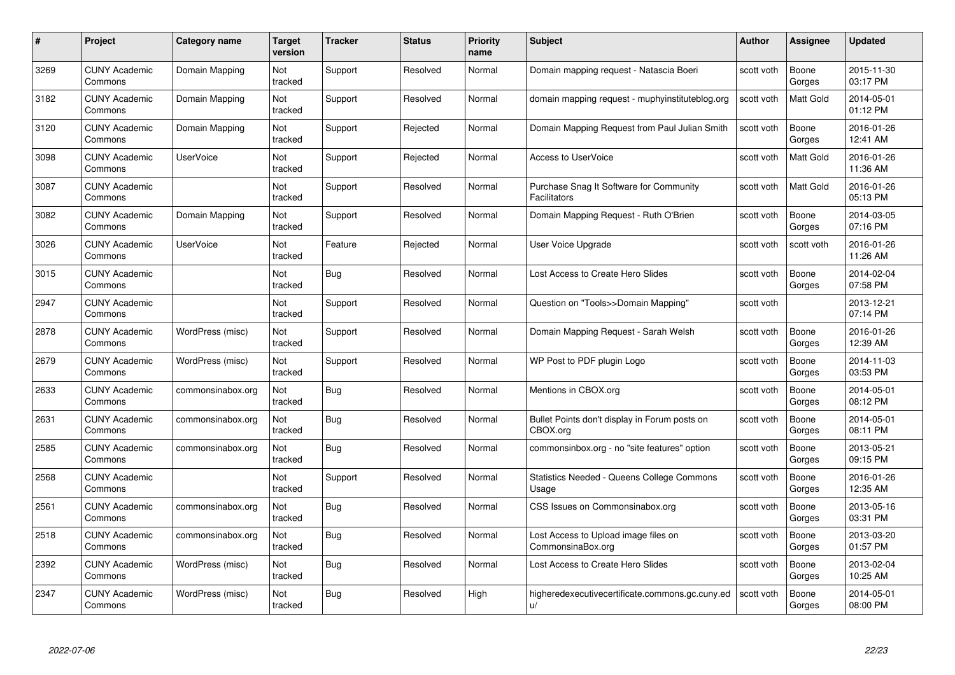| #    | Project                         | <b>Category name</b> | Target<br>version     | <b>Tracker</b> | <b>Status</b> | <b>Priority</b><br>name | <b>Subject</b>                                            | <b>Author</b> | <b>Assignee</b>  | <b>Updated</b>         |
|------|---------------------------------|----------------------|-----------------------|----------------|---------------|-------------------------|-----------------------------------------------------------|---------------|------------------|------------------------|
| 3269 | <b>CUNY Academic</b><br>Commons | Domain Mapping       | Not<br>tracked        | Support        | Resolved      | Normal                  | Domain mapping request - Natascia Boeri                   | scott voth    | Boone<br>Gorges  | 2015-11-30<br>03:17 PM |
| 3182 | <b>CUNY Academic</b><br>Commons | Domain Mapping       | Not<br>tracked        | Support        | Resolved      | Normal                  | domain mapping request - muphyinstituteblog.org           | scott voth    | <b>Matt Gold</b> | 2014-05-01<br>01:12 PM |
| 3120 | <b>CUNY Academic</b><br>Commons | Domain Mapping       | Not<br>tracked        | Support        | Rejected      | Normal                  | Domain Mapping Request from Paul Julian Smith             | scott voth    | Boone<br>Gorges  | 2016-01-26<br>12:41 AM |
| 3098 | <b>CUNY Academic</b><br>Commons | <b>UserVoice</b>     | Not<br>tracked        | Support        | Rejected      | Normal                  | <b>Access to UserVoice</b>                                | scott voth    | Matt Gold        | 2016-01-26<br>11:36 AM |
| 3087 | <b>CUNY Academic</b><br>Commons |                      | <b>Not</b><br>tracked | Support        | Resolved      | Normal                  | Purchase Snag It Software for Community<br>Facilitators   | scott voth    | <b>Matt Gold</b> | 2016-01-26<br>05:13 PM |
| 3082 | <b>CUNY Academic</b><br>Commons | Domain Mapping       | Not<br>tracked        | Support        | Resolved      | Normal                  | Domain Mapping Request - Ruth O'Brien                     | scott voth    | Boone<br>Gorges  | 2014-03-05<br>07:16 PM |
| 3026 | <b>CUNY Academic</b><br>Commons | <b>UserVoice</b>     | Not<br>tracked        | Feature        | Rejected      | Normal                  | User Voice Upgrade                                        | scott voth    | scott voth       | 2016-01-26<br>11:26 AM |
| 3015 | <b>CUNY Academic</b><br>Commons |                      | Not<br>tracked        | Bug            | Resolved      | Normal                  | Lost Access to Create Hero Slides                         | scott voth    | Boone<br>Gorges  | 2014-02-04<br>07:58 PM |
| 2947 | <b>CUNY Academic</b><br>Commons |                      | Not<br>tracked        | Support        | Resolved      | Normal                  | Question on "Tools>>Domain Mapping"                       | scott voth    |                  | 2013-12-21<br>07:14 PM |
| 2878 | <b>CUNY Academic</b><br>Commons | WordPress (misc)     | Not<br>tracked        | Support        | Resolved      | Normal                  | Domain Mapping Request - Sarah Welsh                      | scott voth    | Boone<br>Gorges  | 2016-01-26<br>12:39 AM |
| 2679 | <b>CUNY Academic</b><br>Commons | WordPress (misc)     | Not<br>tracked        | Support        | Resolved      | Normal                  | WP Post to PDF plugin Logo                                | scott voth    | Boone<br>Gorges  | 2014-11-03<br>03:53 PM |
| 2633 | <b>CUNY Academic</b><br>Commons | commonsinabox.org    | Not<br>tracked        | <b>Bug</b>     | Resolved      | Normal                  | Mentions in CBOX.org                                      | scott voth    | Boone<br>Gorges  | 2014-05-01<br>08:12 PM |
| 2631 | <b>CUNY Academic</b><br>Commons | commonsinabox.org    | Not<br>tracked        | Bug            | Resolved      | Normal                  | Bullet Points don't display in Forum posts on<br>CBOX.org | scott voth    | Boone<br>Gorges  | 2014-05-01<br>08:11 PM |
| 2585 | <b>CUNY Academic</b><br>Commons | commonsinabox.org    | Not<br>tracked        | Bug            | Resolved      | Normal                  | commonsinbox.org - no "site features" option              | scott voth    | Boone<br>Gorges  | 2013-05-21<br>09:15 PM |
| 2568 | CUNY Academic<br>Commons        |                      | Not<br>tracked        | Support        | Resolved      | Normal                  | Statistics Needed - Queens College Commons<br>Usage       | scott voth    | Boone<br>Gorges  | 2016-01-26<br>12:35 AM |
| 2561 | <b>CUNY Academic</b><br>Commons | commonsinabox.org    | Not<br>tracked        | Bug            | Resolved      | Normal                  | CSS Issues on Commonsinabox.org                           | scott voth    | Boone<br>Gorges  | 2013-05-16<br>03:31 PM |
| 2518 | <b>CUNY Academic</b><br>Commons | commonsinabox.org    | Not<br>tracked        | Bug            | Resolved      | Normal                  | Lost Access to Upload image files on<br>CommonsinaBox.org | scott voth    | Boone<br>Gorges  | 2013-03-20<br>01:57 PM |
| 2392 | <b>CUNY Academic</b><br>Commons | WordPress (misc)     | Not<br>tracked        | Bug            | Resolved      | Normal                  | Lost Access to Create Hero Slides                         | scott voth    | Boone<br>Gorges  | 2013-02-04<br>10:25 AM |
| 2347 | CUNY Academic<br>Commons        | WordPress (misc)     | Not<br>tracked        | <b>Bug</b>     | Resolved      | High                    | higheredexecutivecertificate.commons.gc.cuny.ed<br>u/     | scott voth    | Boone<br>Gorges  | 2014-05-01<br>08:00 PM |